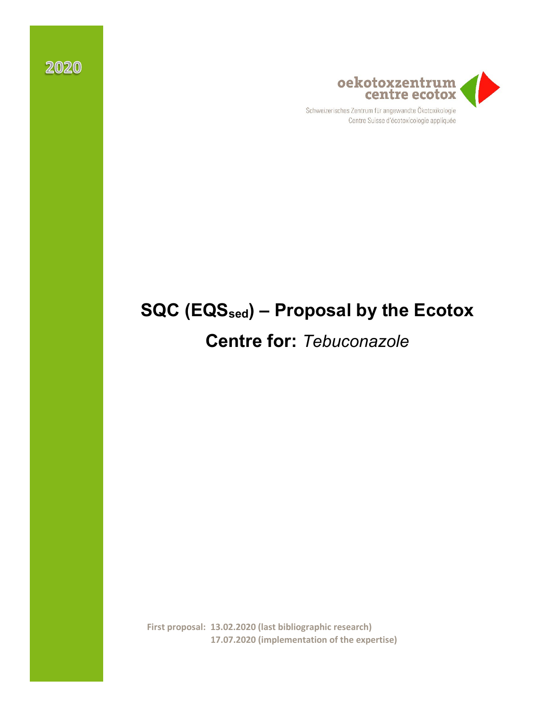

Centre Suisse d'écotoxicologie appliquée

# **SQC (EQSsed) – Proposal by the Ecotox**

# **Centre for:** *Tebuconazole*

**First proposal: 13.02.2020 (last bibliographic research) 17.07.2020 (implementation of the expertise)**

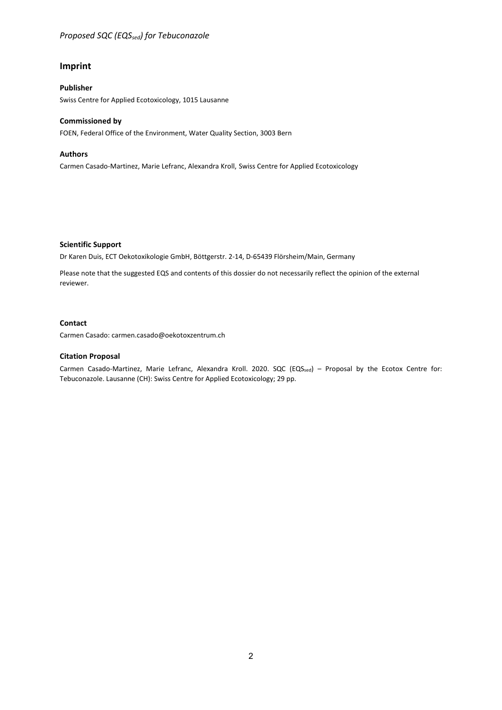#### *Proposed SQC (EQS<sub>sed</sub>) for Tebuconazole*

#### **Imprint**

#### **Publisher**

Swiss Centre for Applied Ecotoxicology, 1015 Lausanne

#### **Commissioned by**

FOEN, Federal Office of the Environment, Water Quality Section, 3003 Bern

#### **Authors**

Carmen Casado-Martinez, Marie Lefranc, Alexandra Kroll, Swiss Centre for Applied Ecotoxicology

#### **Scientific Support**

Dr Karen Duis, ECT Oekotoxikologie GmbH, Böttgerstr. 2-14, D-65439 Flörsheim/Main, Germany

Please note that the suggested EQS and contents of this dossier do not necessarily reflect the opinion of the external reviewer.

#### **Contact**

Carmen Casado: carmen.casado@oekotoxzentrum.ch

#### **Citation Proposal**

Carmen Casado-Martinez, Marie Lefranc, Alexandra Kroll. 2020. SQC (EQSsed) - Proposal by the Ecotox Centre for: Tebuconazole. Lausanne (CH): Swiss Centre for Applied Ecotoxicology; 29 pp.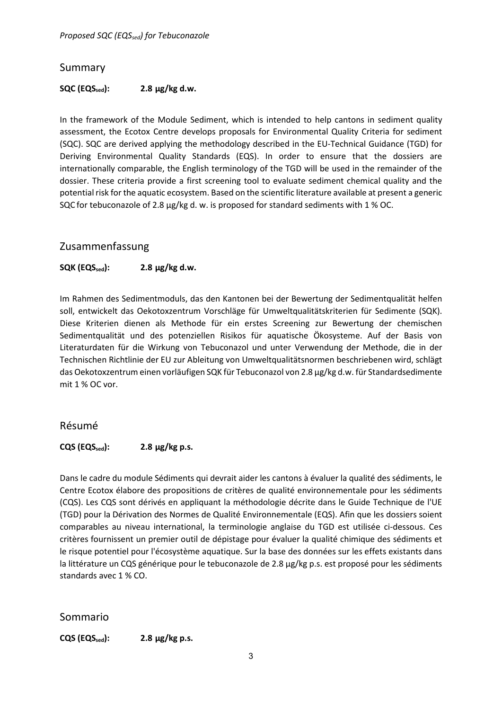*Proposed SQC (EQS<sub>sed</sub>) for Tebuconazole* 

## <span id="page-2-0"></span>Summary

#### $SQC$  ( $EQS_{sed}$ ): 2.8  $\mu$ g/kg d.w.

In the framework of the Module Sediment, which is intended to help cantons in sediment quality assessment, the Ecotox Centre develops proposals for Environmental Quality Criteria for sediment (SQC). SQC are derived applying the methodology described in the EU-Technical Guidance (TGD) for Deriving Environmental Quality Standards (EQS). In order to ensure that the dossiers are internationally comparable, the English terminology of the TGD will be used in the remainder of the dossier. These criteria provide a first screening tool to evaluate sediment chemical quality and the potential risk for the aquatic ecosystem. Based on the scientific literature available at present a generic SQC for tebuconazole of 2.8 µg/kg d. w. is proposed for standard sediments with 1 % OC.

## <span id="page-2-1"></span>Zusammenfassung

#### **SQK (EQSsed): 2.8 µg/kg d.w.**

Im Rahmen des Sedimentmoduls, das den Kantonen bei der Bewertung der Sedimentqualität helfen soll, entwickelt das Oekotoxzentrum Vorschläge für Umweltqualitätskriterien für Sedimente (SQK). Diese Kriterien dienen als Methode für ein erstes Screening zur Bewertung der chemischen Sedimentqualität und des potenziellen Risikos für aquatische Ökosysteme. Auf der Basis von Literaturdaten für die Wirkung von Tebuconazol und unter Verwendung der Methode, die in der Technischen Richtlinie der EU zur Ableitung von Umweltqualitätsnormen beschriebenen wird, schlägt das Oekotoxzentrum einen vorläufigen SQK für Tebuconazol von 2.8 µg/kg d.w. für Standardsedimente mit 1 % OC vor.

#### <span id="page-2-2"></span>Résumé

#### $CQS$   $(EQS<sub>sed</sub>)$ : 2.8  $\mu g/kg$  p.s.

Dans le cadre du module Sédiments qui devrait aider les cantons à évaluer la qualité des sédiments, le Centre Ecotox élabore des propositions de critères de qualité environnementale pour les sédiments (CQS). Les CQS sont dérivés en appliquant la méthodologie décrite dans le Guide Technique de l'UE (TGD) pour la Dérivation des Normes de Qualité Environnementale (EQS). Afin que les dossiers soient comparables au niveau international, la terminologie anglaise du TGD est utilisée ci-dessous. Ces critères fournissent un premier outil de dépistage pour évaluer la qualité chimique des sédiments et le risque potentiel pour l'écosystème aquatique. Sur la base des données sur les effets existants dans la littérature un CQS générique pour le tebuconazole de 2.8 µg/kg p.s. est proposé pour les sédiments standards avec 1 % CO.

## <span id="page-2-3"></span>Sommario

**CQS (EQSsed): 2.8 µg/kg p.s.**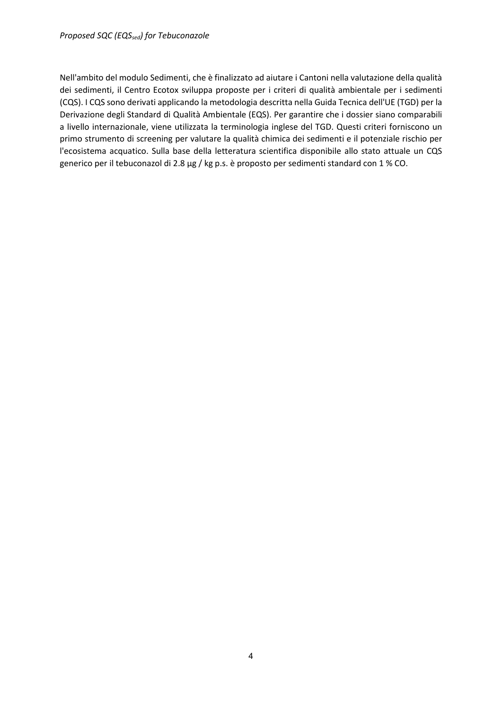Nell'ambito del modulo Sedimenti, che è finalizzato ad aiutare i Cantoni nella valutazione della qualità dei sedimenti, il Centro Ecotox sviluppa proposte per i criteri di qualità ambientale per i sedimenti (CQS). I CQS sono derivati applicando la metodologia descritta nella Guida Tecnica dell'UE (TGD) per la Derivazione degli Standard di Qualità Ambientale (EQS). Per garantire che i dossier siano comparabili a livello internazionale, viene utilizzata la terminologia inglese del TGD. Questi criteri forniscono un primo strumento di screening per valutare la qualità chimica dei sedimenti e il potenziale rischio per l'ecosistema acquatico. Sulla base della letteratura scientifica disponibile allo stato attuale un CQS generico per il tebuconazol di 2.8 µg / kg p.s. è proposto per sedimenti standard con 1 % CO.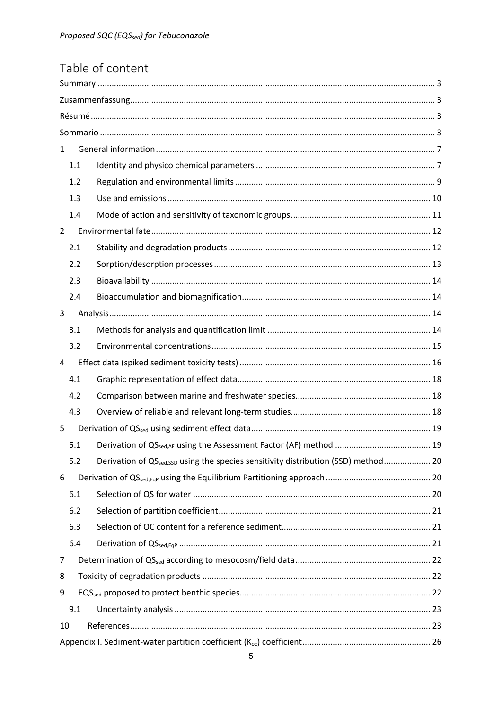| Table of content |
|------------------|
|------------------|

| $\mathbf{1}$                                                                                          |  |
|-------------------------------------------------------------------------------------------------------|--|
| 1.1                                                                                                   |  |
| 1.2                                                                                                   |  |
| 1.3                                                                                                   |  |
| 1.4                                                                                                   |  |
| $\overline{2}$                                                                                        |  |
| 2.1                                                                                                   |  |
| 2.2                                                                                                   |  |
| 2.3                                                                                                   |  |
| 2.4                                                                                                   |  |
| 3                                                                                                     |  |
| 3.1                                                                                                   |  |
| 3.2                                                                                                   |  |
| 4                                                                                                     |  |
| 4.1                                                                                                   |  |
| 4.2                                                                                                   |  |
| 4.3                                                                                                   |  |
| 5                                                                                                     |  |
| 5.1                                                                                                   |  |
| Derivation of QS <sub>sed,SSD</sub> using the species sensitivity distribution (SSD) method 20<br>5.2 |  |
| 6                                                                                                     |  |
| 6.1                                                                                                   |  |
| 6.2                                                                                                   |  |
| 6.3                                                                                                   |  |
| 6.4                                                                                                   |  |
| 7                                                                                                     |  |
| 8                                                                                                     |  |
| 9                                                                                                     |  |
| 9.1                                                                                                   |  |
| 10                                                                                                    |  |
|                                                                                                       |  |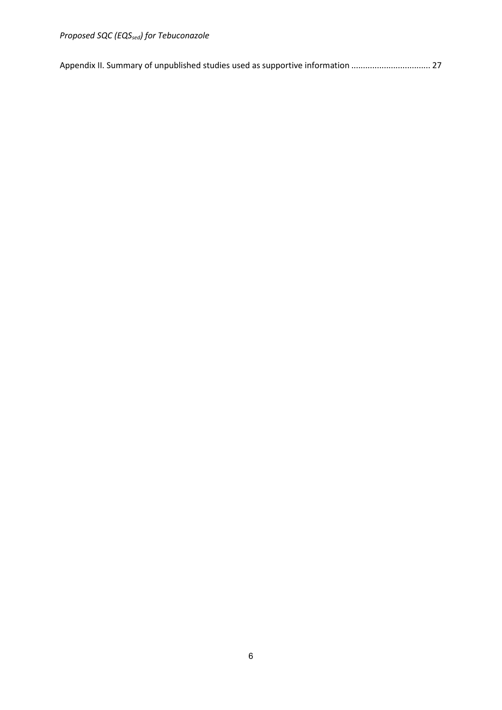*Proposed SQC (EQSsed) for Tebuconazole*

|  |  | Appendix II. Summary of unpublished studies used as supportive information  27 |  |
|--|--|--------------------------------------------------------------------------------|--|
|  |  |                                                                                |  |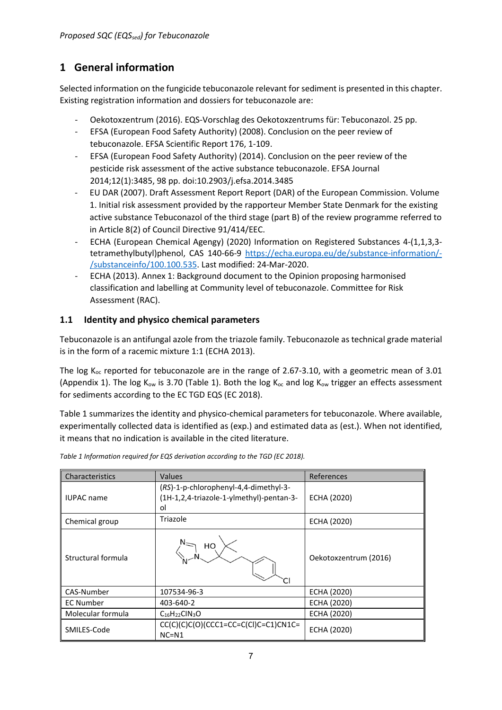# <span id="page-6-0"></span>**1 General information**

Selected information on the fungicide tebuconazole relevant for sediment is presented in this chapter. Existing registration information and dossiers for tebuconazole are:

- Oekotoxzentrum (2016). EQS-Vorschlag des Oekotoxzentrums für: Tebuconazol. 25 pp.
- EFSA (European Food Safety Authority) (2008). Conclusion on the peer review of tebuconazole. EFSA Scientific Report 176, 1-109.
- EFSA (European Food Safety Authority) (2014). Conclusion on the peer review of the pesticide risk assessment of the active substance tebuconazole. EFSA Journal 2014;12(1):3485, 98 pp. doi:10.2903/j.efsa.2014.3485
- EU DAR (2007). Draft Assessment Report Report (DAR) of the European Commission. Volume 1. Initial risk assessment provided by the rapporteur Member State Denmark for the existing active substance Tebuconazol of the third stage (part B) of the review programme referred to in Article 8(2) of Council Directive 91/414/EEC.
- ECHA (European Chemical Agengy) (2020) Information on Registered Substances 4-(1,1,3,3 tetramethylbutyl)phenol, CAS 140-66-9 [https://echa.europa.eu/de/substance-information/-](https://echa.europa.eu/de/substance-information/-/substanceinfo/100.100.535) [/substanceinfo/100.100.535.](https://echa.europa.eu/de/substance-information/-/substanceinfo/100.100.535) Last modified: 24-Mar-2020.
- ECHA (2013). Annex 1: Background document to the Opinion proposing harmonised classification and labelling at Community level of tebuconazole. Committee for Risk Assessment (RAC).

## <span id="page-6-1"></span>**1.1 Identity and physico chemical parameters**

Tebuconazole is an antifungal azole from the triazole family. Tebuconazole as technical grade material is in the form of a racemic mixture 1:1 (ECHA 2013).

The log K<sub>oc</sub> reported for tebuconazole are in the range of 2.67-3.10, with a geometric mean of 3.01 (Appendix 1). The log K<sub>ow</sub> is 3.70 (Table 1). Both the log K<sub>oc</sub> and log K<sub>ow</sub> trigger an effects assessment for sediments according to the EC TGD EQS (EC 2018).

Table 1 summarizes the identity and physico-chemical parameters for tebuconazole. Where available, experimentally collected data is identified as (exp.) and estimated data as (est.). When not identified, it means that no indication is available in the cited literature.

| Characteristics    | <b>Values</b>                                                                           | References            |
|--------------------|-----------------------------------------------------------------------------------------|-----------------------|
| <b>IUPAC</b> name  | (RS)-1-p-chlorophenyl-4,4-dimethyl-3-<br>(1H-1,2,4-triazole-1-ylmethyl)-pentan-3-<br>οl | ECHA (2020)           |
| Chemical group     | Triazole                                                                                | ECHA (2020)           |
| Structural formula | HO                                                                                      | Oekotoxzentrum (2016) |
| CAS-Number         | 107534-96-3                                                                             | ECHA (2020)           |
| <b>EC Number</b>   | 403-640-2                                                                               | ECHA (2020)           |
| Molecular formula  | $C_{16}H_{22}CIN_3O$                                                                    | ECHA (2020)           |
| SMILES-Code        | $CC(C)(C)(C)(C)(CCC1=CC=C(CC)(C=C1)CN1C=$<br>$NC = N1$                                  | ECHA (2020)           |

*Table 1 Information required for EQS derivation according to the TGD (EC 2018).*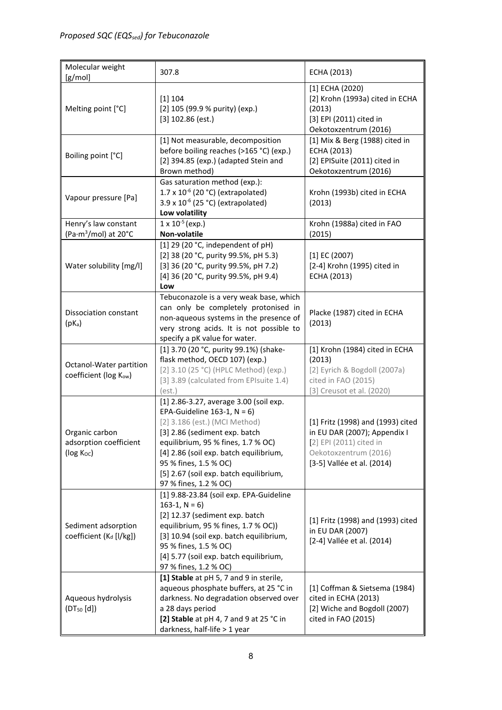| Molecular weight<br>[g/mol]                                                | 307.8                                                                                                                                                                                                                                                                                                                  | ECHA (2013)                                                                                                                                         |
|----------------------------------------------------------------------------|------------------------------------------------------------------------------------------------------------------------------------------------------------------------------------------------------------------------------------------------------------------------------------------------------------------------|-----------------------------------------------------------------------------------------------------------------------------------------------------|
| Melting point [°C]                                                         | [1] 104<br>[2] 105 (99.9 % purity) (exp.)<br>$[3]$ 102.86 (est.)                                                                                                                                                                                                                                                       | [1] ECHA (2020)<br>[2] Krohn (1993a) cited in ECHA<br>(2013)<br>[3] EPI (2011) cited in<br>Oekotoxzentrum (2016)                                    |
| Boiling point [°C]                                                         | [1] Not measurable, decomposition<br>before boiling reaches (>165 °C) (exp.)<br>[2] 394.85 (exp.) (adapted Stein and<br>Brown method)                                                                                                                                                                                  | [1] Mix & Berg (1988) cited in<br>ECHA (2013)<br>[2] EPISuite (2011) cited in<br>Oekotoxzentrum (2016)                                              |
| Vapour pressure [Pa]                                                       | Gas saturation method (exp.):<br>$1.7 \times 10^{-6}$ (20 °C) (extrapolated)<br>3.9 x 10 <sup>-6</sup> (25 °C) (extrapolated)<br>Low volatility                                                                                                                                                                        | Krohn (1993b) cited in ECHA<br>(2013)                                                                                                               |
| Henry's law constant<br>(Pa $\cdot$ m <sup>3</sup> /mol) at 20 $\degree$ C | $1 \times 10^{-5}$ (exp.)<br>Non-volatile                                                                                                                                                                                                                                                                              | Krohn (1988a) cited in FAO<br>(2015)                                                                                                                |
| Water solubility [mg/l]                                                    | [1] 29 (20 °C, independent of $pH$ )<br>[2] 38 (20 °C, purity 99.5%, pH 5.3)<br>[3] 36 (20 °C, purity 99.5%, pH 7.2)<br>[4] 36 (20 °C, purity 99.5%, pH 9.4)<br>Low                                                                                                                                                    | $[1]$ EC (2007)<br>[2-4] Krohn (1995) cited in<br>ECHA (2013)                                                                                       |
| Dissociation constant<br>$(pK_a)$                                          | Tebuconazole is a very weak base, which<br>can only be completely protonised in<br>non-aqueous systems in the presence of<br>very strong acids. It is not possible to<br>specify a pK value for water.                                                                                                                 | Placke (1987) cited in ECHA<br>(2013)                                                                                                               |
| Octanol-Water partition<br>coefficient (log Kow)                           | [1] 3.70 (20 °C, purity 99.1%) (shake-<br>flask method, OECD 107) (exp.)<br>[2] 3.10 (25 °C) (HPLC Method) (exp.)<br>[3] 3.89 (calculated from EPIsuite 1.4)<br>(est.)                                                                                                                                                 | [1] Krohn (1984) cited in ECHA<br>(2013)<br>[2] Eyrich & Bogdoll (2007a)<br>cited in FAO (2015)<br>[3] Creusot et al. (2020)                        |
| Organic carbon<br>adsorption coefficient<br>(log Koc)                      | [1] 2.86-3.27, average 3.00 (soil exp.<br>EPA-Guideline 163-1, $N = 6$ )<br>[2] 3.186 (est.) (MCI Method)<br>[3] 2.86 (sediment exp. batch<br>equilibrium, 95 % fines, 1.7 % OC)<br>[4] 2.86 (soil exp. batch equilibrium,<br>95 % fines, 1.5 % OC)<br>[5] 2.67 (soil exp. batch equilibrium,<br>97 % fines, 1.2 % OC) | [1] Fritz (1998) and (1993) cited<br>in EU DAR (2007); Appendix I<br>[2] EPI (2011) cited in<br>Oekotoxzentrum (2016)<br>[3-5] Vallée et al. (2014) |
| Sediment adsorption<br>coefficient (K <sub>d</sub> [I/kg])                 | [1] 9.88-23.84 (soil exp. EPA-Guideline<br>163-1, $N = 6$ )<br>[2] 12.37 (sediment exp. batch<br>equilibrium, 95 % fines, 1.7 % OC))<br>[3] 10.94 (soil exp. batch equilibrium,<br>95 % fines, 1.5 % OC)<br>[4] 5.77 (soil exp. batch equilibrium,<br>97 % fines, 1.2 % OC)                                            | [1] Fritz (1998) and (1993) cited<br>in EU DAR (2007)<br>[2-4] Vallée et al. (2014)                                                                 |
| Aqueous hydrolysis<br>(DT <sub>50</sub> [d])                               | [1] Stable at pH 5, 7 and 9 in sterile,<br>aqueous phosphate buffers, at 25 °C in<br>darkness. No degradation observed over<br>a 28 days period<br>[2] Stable at pH 4, 7 and 9 at 25 °C in<br>darkness, half-life > 1 year                                                                                             | [1] Coffman & Sietsema (1984)<br>cited in ECHA (2013)<br>[2] Wiche and Bogdoll (2007)<br>cited in FAO (2015)                                        |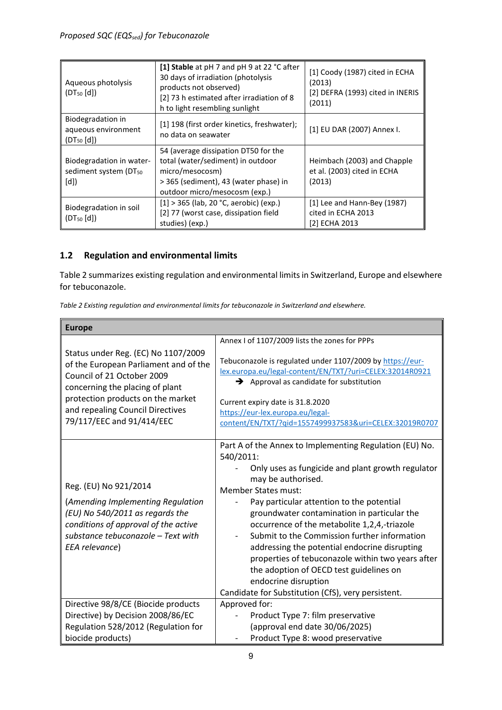| Aqueous photolysis<br>(DT <sub>50</sub> [d])                         | [1] Stable at pH 7 and pH 9 at 22 °C after<br>30 days of irradiation (photolysis<br>products not observed)<br>[2] 73 h estimated after irradiation of 8<br>h to light resembling sunlight | [1] Coody (1987) cited in ECHA<br>(2013)<br>[2] DEFRA (1993) cited in INERIS<br>(2011) |
|----------------------------------------------------------------------|-------------------------------------------------------------------------------------------------------------------------------------------------------------------------------------------|----------------------------------------------------------------------------------------|
| Biodegradation in<br>aqueous environment<br>(DT <sub>50</sub> [d])   | [1] 198 (first order kinetics, freshwater);<br>no data on seawater                                                                                                                        | [1] EU DAR (2007) Annex I.                                                             |
| Biodegradation in water-<br>sediment system (DT <sub>50</sub><br>[d] | 54 (average dissipation DT50 for the<br>total (water/sediment) in outdoor<br>micro/mesocosm)<br>> 365 (sediment), 43 (water phase) in<br>outdoor micro/mesocosm (exp.)                    | Heimbach (2003) and Chapple<br>et al. (2003) cited in ECHA<br>(2013)                   |
| Biodegradation in soil<br>(DT <sub>50</sub> [d])                     | $[1] > 365$ (lab, 20 °C, aerobic) (exp.)<br>[2] 77 (worst case, dissipation field<br>studies) (exp.)                                                                                      | $[1]$ Lee and Hann-Bey (1987)<br>cited in ECHA 2013<br>[2] ECHA 2013                   |

## <span id="page-8-0"></span>**1.2 Regulation and environmental limits**

Table 2 summarizes existing regulation and environmental limits in Switzerland, Europe and elsewhere for tebuconazole.

*Table 2 Existing regulation and environmental limits for tebuconazole in Switzerland and elsewhere.*

| <b>Europe</b>                                                                                                                                                                                 |                                                                                                                                                                                                                                                                                                                                                                                                                                                                                                                                                    |
|-----------------------------------------------------------------------------------------------------------------------------------------------------------------------------------------------|----------------------------------------------------------------------------------------------------------------------------------------------------------------------------------------------------------------------------------------------------------------------------------------------------------------------------------------------------------------------------------------------------------------------------------------------------------------------------------------------------------------------------------------------------|
| Status under Reg. (EC) No 1107/2009<br>of the European Parliament and of the<br>Council of 21 October 2009                                                                                    | Annex I of 1107/2009 lists the zones for PPPs<br>Tebuconazole is regulated under 1107/2009 by https://eur-<br>lex.europa.eu/legal-content/EN/TXT/?uri=CELEX:32014R0921                                                                                                                                                                                                                                                                                                                                                                             |
| concerning the placing of plant<br>protection products on the market<br>and repealing Council Directives<br>79/117/EEC and 91/414/EEC                                                         | $\rightarrow$ Approval as candidate for substitution<br>Current expiry date is 31.8.2020<br>https://eur-lex.europa.eu/legal-<br>content/EN/TXT/?qid=1557499937583&uri=CELEX:32019R0707                                                                                                                                                                                                                                                                                                                                                             |
| Reg. (EU) No 921/2014<br>(Amending Implementing Regulation<br>(EU) No 540/2011 as regards the<br>conditions of approval of the active<br>substance tebuconazole - Text with<br>EEA relevance) | Part A of the Annex to Implementing Regulation (EU) No.<br>540/2011:<br>Only uses as fungicide and plant growth regulator<br>may be authorised.<br><b>Member States must:</b><br>Pay particular attention to the potential<br>groundwater contamination in particular the<br>occurrence of the metabolite 1,2,4,-triazole<br>Submit to the Commission further information<br>addressing the potential endocrine disrupting<br>properties of tebuconazole within two years after<br>the adoption of OECD test guidelines on<br>endocrine disruption |
| Directive 98/8/CE (Biocide products                                                                                                                                                           | Candidate for Substitution (CfS), very persistent.<br>Approved for:                                                                                                                                                                                                                                                                                                                                                                                                                                                                                |
| Directive) by Decision 2008/86/EC                                                                                                                                                             | Product Type 7: film preservative                                                                                                                                                                                                                                                                                                                                                                                                                                                                                                                  |
| Regulation 528/2012 (Regulation for                                                                                                                                                           | (approval end date 30/06/2025)                                                                                                                                                                                                                                                                                                                                                                                                                                                                                                                     |
| biocide products)                                                                                                                                                                             | Product Type 8: wood preservative<br>-                                                                                                                                                                                                                                                                                                                                                                                                                                                                                                             |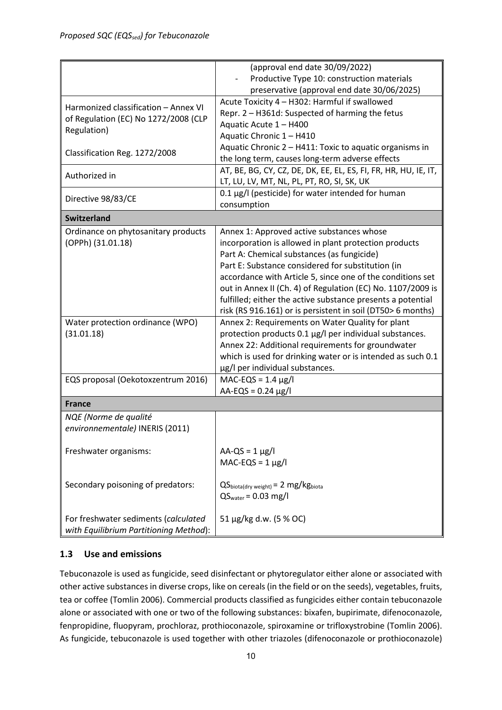|                                                                                                                                                                            | (approval end date 30/09/2022)                                                                                                                                                                                  |
|----------------------------------------------------------------------------------------------------------------------------------------------------------------------------|-----------------------------------------------------------------------------------------------------------------------------------------------------------------------------------------------------------------|
|                                                                                                                                                                            | Productive Type 10: construction materials                                                                                                                                                                      |
|                                                                                                                                                                            | preservative (approval end date 30/06/2025)                                                                                                                                                                     |
| Harmonized classification - Annex VI                                                                                                                                       | Acute Toxicity 4 - H302: Harmful if swallowed                                                                                                                                                                   |
|                                                                                                                                                                            | Repr. 2 - H361d: Suspected of harming the fetus                                                                                                                                                                 |
| of Regulation (EC) No 1272/2008 (CLP                                                                                                                                       | Aquatic Acute 1 - H400                                                                                                                                                                                          |
| Regulation)                                                                                                                                                                | Aquatic Chronic 1 - H410                                                                                                                                                                                        |
|                                                                                                                                                                            | Aquatic Chronic 2 - H411: Toxic to aquatic organisms in                                                                                                                                                         |
| Classification Reg. 1272/2008                                                                                                                                              | the long term, causes long-term adverse effects                                                                                                                                                                 |
|                                                                                                                                                                            | AT, BE, BG, CY, CZ, DE, DK, EE, EL, ES, FI, FR, HR, HU, IE, IT,                                                                                                                                                 |
| Authorized in                                                                                                                                                              | LT, LU, LV, MT, NL, PL, PT, RO, SI, SK, UK                                                                                                                                                                      |
|                                                                                                                                                                            | 0.1 μg/l (pesticide) for water intended for human                                                                                                                                                               |
| Directive 98/83/CE                                                                                                                                                         | consumption                                                                                                                                                                                                     |
| <b>Switzerland</b>                                                                                                                                                         |                                                                                                                                                                                                                 |
|                                                                                                                                                                            |                                                                                                                                                                                                                 |
| Ordinance on phytosanitary products                                                                                                                                        | Annex 1: Approved active substances whose                                                                                                                                                                       |
| (OPPh) (31.01.18)                                                                                                                                                          | incorporation is allowed in plant protection products                                                                                                                                                           |
|                                                                                                                                                                            | Part A: Chemical substances (as fungicide)                                                                                                                                                                      |
|                                                                                                                                                                            | Part E: Substance considered for substitution (in                                                                                                                                                               |
|                                                                                                                                                                            | accordance with Article 5, since one of the conditions set                                                                                                                                                      |
|                                                                                                                                                                            | out in Annex II (Ch. 4) of Regulation (EC) No. 1107/2009 is                                                                                                                                                     |
|                                                                                                                                                                            | fulfilled; either the active substance presents a potential                                                                                                                                                     |
|                                                                                                                                                                            | risk (RS 916.161) or is persistent in soil (DT50> 6 months)                                                                                                                                                     |
| Water protection ordinance (WPO)                                                                                                                                           | Annex 2: Requirements on Water Quality for plant                                                                                                                                                                |
| (31.01.18)                                                                                                                                                                 | protection products 0.1 µg/l per individual substances.                                                                                                                                                         |
|                                                                                                                                                                            | Annex 22: Additional requirements for groundwater                                                                                                                                                               |
|                                                                                                                                                                            | which is used for drinking water or is intended as such 0.1                                                                                                                                                     |
|                                                                                                                                                                            |                                                                                                                                                                                                                 |
|                                                                                                                                                                            |                                                                                                                                                                                                                 |
|                                                                                                                                                                            |                                                                                                                                                                                                                 |
|                                                                                                                                                                            |                                                                                                                                                                                                                 |
|                                                                                                                                                                            |                                                                                                                                                                                                                 |
| NQE (Norme de qualité                                                                                                                                                      |                                                                                                                                                                                                                 |
| environnementale) INERIS (2011)                                                                                                                                            |                                                                                                                                                                                                                 |
|                                                                                                                                                                            |                                                                                                                                                                                                                 |
| Freshwater organisms:                                                                                                                                                      | $AA-QS = 1 \mu g/l$                                                                                                                                                                                             |
|                                                                                                                                                                            | $MAC$ -EQS = 1 $\mu$ g/l                                                                                                                                                                                        |
|                                                                                                                                                                            |                                                                                                                                                                                                                 |
|                                                                                                                                                                            |                                                                                                                                                                                                                 |
|                                                                                                                                                                            |                                                                                                                                                                                                                 |
|                                                                                                                                                                            |                                                                                                                                                                                                                 |
|                                                                                                                                                                            |                                                                                                                                                                                                                 |
|                                                                                                                                                                            |                                                                                                                                                                                                                 |
| EQS proposal (Oekotoxzentrum 2016)<br><b>France</b><br>Secondary poisoning of predators:<br>For freshwater sediments (calculated<br>with Equilibrium Partitioning Method): | µg/l per individual substances.<br>$MAC-EQS = 1.4 \mu g/l$<br>$AA$ -EQS = 0.24 $\mu$ g/l<br>$QS_{\text{biota(dry weight)}} = 2 \text{ mg/kg}_{\text{biota}}$<br>$QSwater = 0.03 mg/l$<br>51 µg/kg d.w. (5 % OC) |

## <span id="page-9-0"></span>**1.3 Use and emissions**

Tebuconazole is used as fungicide, seed disinfectant or phytoregulator either alone or associated with other active substances in diverse crops, like on cereals (in the field or on the seeds), vegetables, fruits, tea or coffee (Tomlin 2006). Commercial products classified as fungicides either contain tebuconazole alone or associated with one or two of the following substances: bixafen, bupirimate, difenoconazole, fenpropidine, fluopyram, prochloraz, prothioconazole, spiroxamine or trifloxystrobine (Tomlin 2006). As fungicide, tebuconazole is used together with other triazoles (difenoconazole or prothioconazole)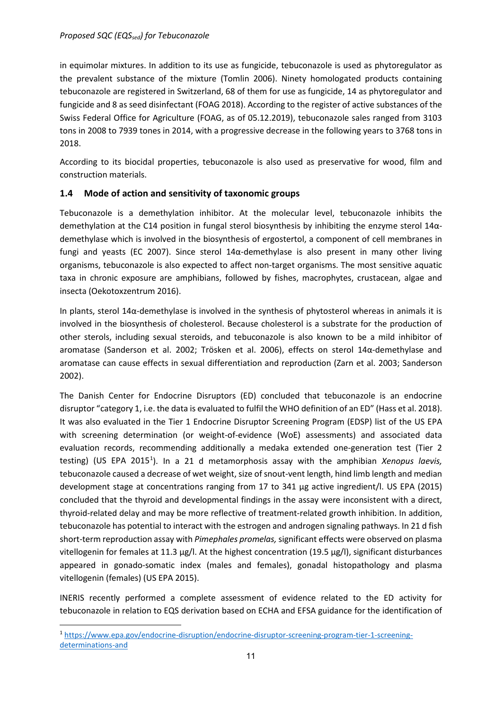in equimolar mixtures. In addition to its use as fungicide, tebuconazole is used as phytoregulator as the prevalent substance of the mixture (Tomlin 2006). Ninety homologated products containing tebuconazole are registered in Switzerland, 68 of them for use as fungicide, 14 as phytoregulator and fungicide and 8 as seed disinfectant (FOAG 2018). According to the register of active substances of the Swiss Federal Office for Agriculture (FOAG, as of 05.12.2019), tebuconazole sales ranged from 3103 tons in 2008 to 7939 tones in 2014, with a progressive decrease in the following years to 3768 tons in 2018.

According to its biocidal properties, tebuconazole is also used as preservative for wood, film and construction materials.

#### <span id="page-10-0"></span>**1.4 Mode of action and sensitivity of taxonomic groups**

Tebuconazole is a demethylation inhibitor. At the molecular level, tebuconazole inhibits the demethylation at the C14 position in fungal sterol biosynthesis by inhibiting the enzyme sterol 14αdemethylase which is involved in the biosynthesis of ergostertol, a component of cell membranes in fungi and yeasts (EC 2007). Since sterol 14α-demethylase is also present in many other living organisms, tebuconazole is also expected to affect non-target organisms. The most sensitive aquatic taxa in chronic exposure are amphibians, followed by fishes, macrophytes, crustacean, algae and insecta (Oekotoxzentrum 2016).

In plants, sterol 14α-demethylase is involved in the synthesis of phytosterol whereas in animals it is involved in the biosynthesis of cholesterol. Because cholesterol is a substrate for the production of other sterols, including sexual steroids, and tebuconazole is also known to be a mild inhibitor of aromatase (Sanderson et al. 2002; Trösken et al. 2006), effects on sterol 14α-demethylase and aromatase can cause effects in sexual differentiation and reproduction (Zarn et al. 2003; Sanderson 2002).

The Danish Center for Endocrine Disruptors (ED) concluded that tebuconazole is an endocrine disruptor "category 1, i.e. the data is evaluated to fulfil the WHO definition of an ED" (Hass et al. 2018). It was also evaluated in the Tier 1 Endocrine Disruptor Screening Program (EDSP) list of the US EPA with screening determination (or weight-of-evidence (WoE) assessments) and associated data evaluation records, recommending additionally a medaka extended one-generation test (Tier 2 testing) (US EPA 20[1](#page-10-1)5<sup>1</sup>). In a 21 d metamorphosis assay with the amphibian Xenopus laevis, tebuconazole caused a decrease of wet weight, size of snout-vent length, hind limb length and median development stage at concentrations ranging from 17 to 341 µg active ingredient/l. US EPA (2015) concluded that the thyroid and developmental findings in the assay were inconsistent with a direct, thyroid-related delay and may be more reflective of treatment-related growth inhibition. In addition, tebuconazole has potential to interact with the estrogen and androgen signaling pathways. In 21 d fish short-term reproduction assay with *Pimephales promelas,*significant effects were observed on plasma vitellogenin for females at 11.3 µg/l. At the highest concentration (19.5 µg/l), significant disturbances appeared in gonado-somatic index (males and females), gonadal histopathology and plasma vitellogenin (females) (US EPA 2015).

INERIS recently performed a complete assessment of evidence related to the ED activity for tebuconazole in relation to EQS derivation based on ECHA and EFSA guidance for the identification of

<span id="page-10-1"></span> <sup>1</sup> [https://www.epa.gov/endocrine-disruption/endocrine-disruptor-screening-program-tier-1-screening](https://www.epa.gov/endocrine-disruption/endocrine-disruptor-screening-program-tier-1-screening-determinations-and)[determinations-and](https://www.epa.gov/endocrine-disruption/endocrine-disruptor-screening-program-tier-1-screening-determinations-and)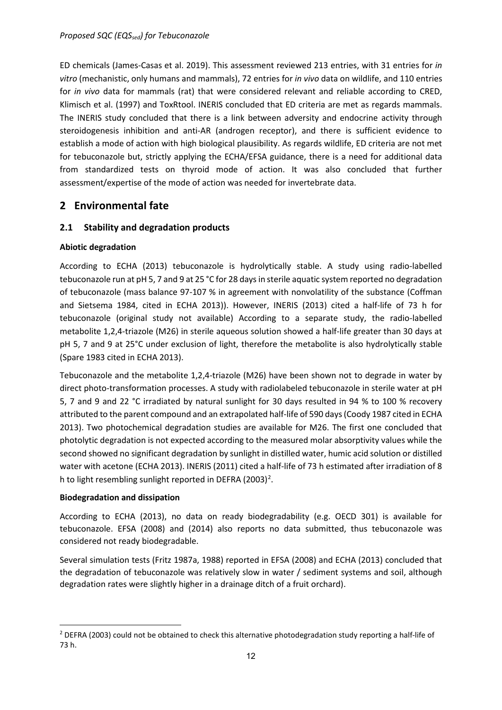ED chemicals (James-Casas et al. 2019). This assessment reviewed 213 entries, with 31 entries for *in vitro* (mechanistic, only humans and mammals), 72 entries for *in vivo* data on wildlife, and 110 entries for *in vivo* data for mammals (rat) that were considered relevant and reliable according to CRED, Klimisch et al. (1997) and ToxRtool. INERIS concluded that ED criteria are met as regards mammals. The INERIS study concluded that there is a link between adversity and endocrine activity through steroidogenesis inhibition and anti-AR (androgen receptor), and there is sufficient evidence to establish a mode of action with high biological plausibility. As regards wildlife, ED criteria are not met for tebuconazole but, strictly applying the ECHA/EFSA guidance, there is a need for additional data from standardized tests on thyroid mode of action. It was also concluded that further assessment/expertise of the mode of action was needed for invertebrate data.

## <span id="page-11-0"></span>**2 Environmental fate**

## <span id="page-11-1"></span>**2.1 Stability and degradation products**

#### **Abiotic degradation**

According to ECHA (2013) tebuconazole is hydrolytically stable. A study using radio-labelled tebuconazole run at pH 5, 7 and 9 at 25 °C for 28 days in sterile aquatic system reported no degradation of tebuconazole (mass balance 97-107 % in agreement with nonvolatility of the substance (Coffman and Sietsema 1984, cited in ECHA 2013)). However, INERIS (2013) cited a half-life of 73 h for tebuconazole (original study not available) According to a separate study, the radio-labelled metabolite 1,2,4-triazole (M26) in sterile aqueous solution showed a half-life greater than 30 days at pH 5, 7 and 9 at 25°C under exclusion of light, therefore the metabolite is also hydrolytically stable (Spare 1983 cited in ECHA 2013).

Tebuconazole and the metabolite 1,2,4-triazole (M26) have been shown not to degrade in water by direct photo-transformation processes. A study with radiolabeled tebuconazole in sterile water at pH 5, 7 and 9 and 22 °C irradiated by natural sunlight for 30 days resulted in 94 % to 100 % recovery attributed to the parent compound and an extrapolated half-life of 590 days (Coody 1987 cited in ECHA 2013). Two photochemical degradation studies are available for M26. The first one concluded that photolytic degradation is not expected according to the measured molar absorptivity values while the second showed no significant degradation by sunlight in distilled water, humic acid solution or distilled water with acetone (ECHA 2013). INERIS (2011) cited a half-life of 73 h estimated after irradiation of 8 h to light resembling sunlight reported in DEFRA ([2](#page-11-2)003)<sup>2</sup>.

#### **Biodegradation and dissipation**

According to ECHA (2013), no data on ready biodegradability (e.g. OECD 301) is available for tebuconazole. EFSA (2008) and (2014) also reports no data submitted, thus tebuconazole was considered not ready biodegradable.

Several simulation tests (Fritz 1987a, 1988) reported in EFSA (2008) and ECHA (2013) concluded that the degradation of tebuconazole was relatively slow in water / sediment systems and soil, although degradation rates were slightly higher in a drainage ditch of a fruit orchard).

<span id="page-11-2"></span><sup>&</sup>lt;sup>2</sup> DEFRA (2003) could not be obtained to check this alternative photodegradation study reporting a half-life of 73 h.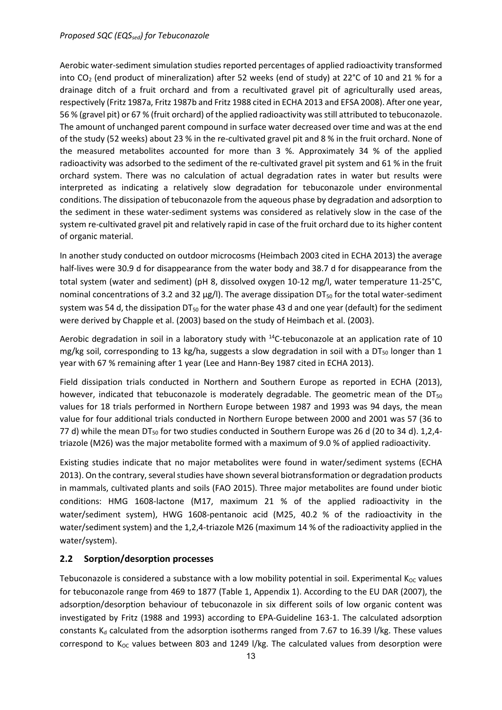#### *Proposed SQC (EQS<sub>sed</sub>) for Tebuconazole*

Aerobic water-sediment simulation studies reported percentages of applied radioactivity transformed into CO2 (end product of mineralization) after 52 weeks (end of study) at 22°C of 10 and 21 % for a drainage ditch of a fruit orchard and from a recultivated gravel pit of agriculturally used areas, respectively (Fritz 1987a, Fritz 1987b and Fritz 1988 cited in ECHA 2013 and EFSA 2008). After one year, 56 % (gravel pit) or 67 % (fruit orchard) of the applied radioactivity was still attributed to tebuconazole. The amount of unchanged parent compound in surface water decreased over time and was at the end of the study (52 weeks) about 23 % in the re-cultivated gravel pit and 8 % in the fruit orchard. None of the measured metabolites accounted for more than 3 %. Approximately 34 % of the applied radioactivity was adsorbed to the sediment of the re-cultivated gravel pit system and 61 % in the fruit orchard system. There was no calculation of actual degradation rates in water but results were interpreted as indicating a relatively slow degradation for tebuconazole under environmental conditions. The dissipation of tebuconazole from the aqueous phase by degradation and adsorption to the sediment in these water-sediment systems was considered as relatively slow in the case of the system re-cultivated gravel pit and relatively rapid in case of the fruit orchard due to its higher content of organic material.

In another study conducted on outdoor microcosms (Heimbach 2003 cited in ECHA 2013) the average half-lives were 30.9 d for disappearance from the water body and 38.7 d for disappearance from the total system (water and sediment) (pH 8, dissolved oxygen 10-12 mg/l, water temperature 11-25°C, nominal concentrations of 3.2 and 32  $\mu$ g/l). The average dissipation DT<sub>50</sub> for the total water-sediment system was 54 d, the dissipation  $DT_{50}$  for the water phase 43 d and one year (default) for the sediment were derived by Chapple et al. (2003) based on the study of Heimbach et al. (2003).

Aerobic degradation in soil in a laboratory study with <sup>14</sup>C-tebuconazole at an application rate of 10 mg/kg soil, corresponding to 13 kg/ha, suggests a slow degradation in soil with a DT<sub>50</sub> longer than 1 year with 67 % remaining after 1 year (Lee and Hann-Bey 1987 cited in ECHA 2013).

Field dissipation trials conducted in Northern and Southern Europe as reported in ECHA (2013), however, indicated that tebuconazole is moderately degradable. The geometric mean of the  $DT_{50}$ values for 18 trials performed in Northern Europe between 1987 and 1993 was 94 days, the mean value for four additional trials conducted in Northern Europe between 2000 and 2001 was 57 (36 to 77 d) while the mean DT<sub>50</sub> for two studies conducted in Southern Europe was 26 d (20 to 34 d). 1,2,4triazole (M26) was the major metabolite formed with a maximum of 9.0 % of applied radioactivity.

Existing studies indicate that no major metabolites were found in water/sediment systems (ECHA 2013). On the contrary, several studies have shown several biotransformation or degradation products in mammals, cultivated plants and soils (FAO 2015). Three major metabolites are found under biotic conditions: HMG 1608-lactone (M17, maximum 21 % of the applied radioactivity in the water/sediment system), HWG 1608-pentanoic acid (M25, 40.2 % of the radioactivity in the water/sediment system) and the 1,2,4-triazole M26 (maximum 14 % of the radioactivity applied in the water/system).

#### <span id="page-12-0"></span>**2.2 Sorption/desorption processes**

Tebuconazole is considered a substance with a low mobility potential in soil. Experimental  $K_{OC}$  values for tebuconazole range from 469 to 1877 (Table 1, Appendix 1). According to the EU DAR (2007), the adsorption/desorption behaviour of tebuconazole in six different soils of low organic content was investigated by Fritz (1988 and 1993) according to EPA-Guideline 163-1. The calculated adsorption constants  $K_d$  calculated from the adsorption isotherms ranged from 7.67 to 16.39 l/kg. These values correspond to  $K_{OC}$  values between 803 and 1249 l/kg. The calculated values from desorption were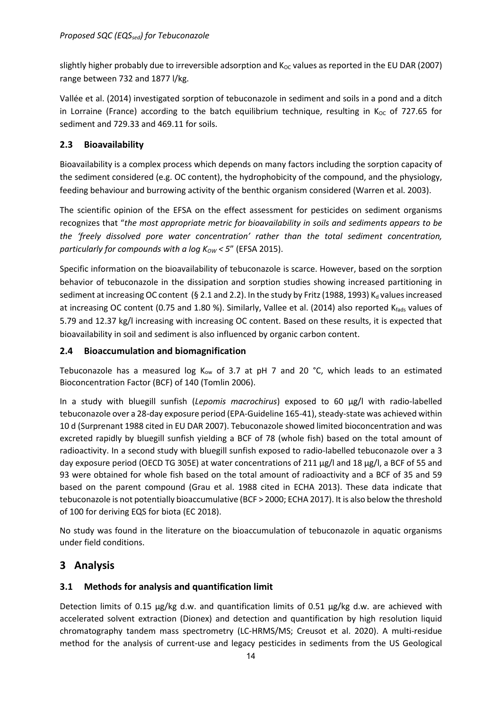slightly higher probably due to irreversible adsorption and  $K_{OC}$  values as reported in the EU DAR (2007) range between 732 and 1877 l/kg.

Vallée et al. (2014) investigated sorption of tebuconazole in sediment and soils in a pond and a ditch in Lorraine (France) according to the batch equilibrium technique, resulting in  $K_{OC}$  of 727.65 for sediment and 729.33 and 469.11 for soils.

#### <span id="page-13-0"></span>**2.3 Bioavailability**

Bioavailability is a complex process which depends on many factors including the sorption capacity of the sediment considered (e.g. OC content), the hydrophobicity of the compound, and the physiology, feeding behaviour and burrowing activity of the benthic organism considered (Warren et al. 2003).

The scientific opinion of the EFSA on the effect assessment for pesticides on sediment organisms recognizes that "*the most appropriate metric for bioavailability in soils and sediments appears to be the 'freely dissolved pore water concentration' rather than the total sediment concentration, particularly for compounds with a log K<sub>ow</sub> < 5" (EFSA 2015).* 

Specific information on the bioavailability of tebuconazole is scarce. However, based on the sorption behavior of tebuconazole in the dissipation and sorption studies showing increased partitioning in sediment at increasing OC content (§ 2.1 and 2.2). In the study by Fritz (1988, 1993) K<sub>d</sub> values increased at increasing OC content (0.75 and 1.80 %). Similarly, Vallee et al. (2014) also reported Kfads values of 5.79 and 12.37 kg/l increasing with increasing OC content. Based on these results, it is expected that bioavailability in soil and sediment is also influenced by organic carbon content.

#### <span id="page-13-1"></span>**2.4 Bioaccumulation and biomagnification**

Tebuconazole has a measured log  $K_{ow}$  of 3.7 at pH 7 and 20 °C, which leads to an estimated Bioconcentration Factor (BCF) of 140 (Tomlin 2006).

In a study with bluegill sunfish (*Lepomis macrochirus*) exposed to 60 μg/l with radio-labelled tebuconazole over a 28-day exposure period (EPA-Guideline 165-41), steady-state was achieved within 10 d (Surprenant 1988 cited in EU DAR 2007). Tebuconazole showed limited bioconcentration and was excreted rapidly by bluegill sunfish yielding a BCF of 78 (whole fish) based on the total amount of radioactivity. In a second study with bluegill sunfish exposed to radio-labelled tebuconazole over a 3 day exposure period (OECD TG 305E) at water concentrations of 211 μg/l and 18 μg/l, a BCF of 55 and 93 were obtained for whole fish based on the total amount of radioactivity and a BCF of 35 and 59 based on the parent compound (Grau et al. 1988 cited in ECHA 2013). These data indicate that tebuconazole is not potentially bioaccumulative (BCF > 2000; ECHA 2017). It is also below the threshold of 100 for deriving EQS for biota (EC 2018).

No study was found in the literature on the bioaccumulation of tebuconazole in aquatic organisms under field conditions.

# <span id="page-13-2"></span>**3 Analysis**

#### <span id="page-13-3"></span>**3.1 Methods for analysis and quantification limit**

Detection limits of 0.15  $\mu$ g/kg d.w. and quantification limits of 0.51  $\mu$ g/kg d.w. are achieved with accelerated solvent extraction (Dionex) and detection and quantification by high resolution liquid chromatography tandem mass spectrometry (LC-HRMS/MS; Creusot et al. 2020). A multi-residue method for the analysis of current-use and legacy pesticides in sediments from the US Geological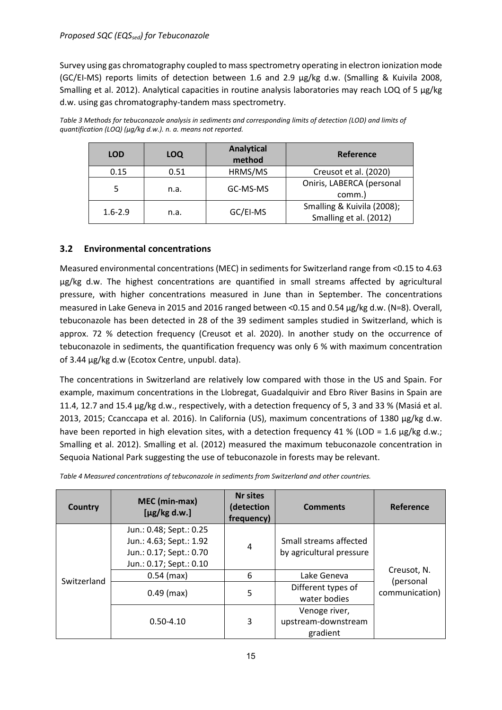#### *Proposed SQC (EQS<sub>sed</sub>) for Tebuconazole*

Survey using gas chromatography coupled to mass spectrometry operating in electron ionization mode (GC/EI-MS) reports limits of detection between 1.6 and 2.9 µg/kg d.w. (Smalling & Kuivila 2008, Smalling et al. 2012). Analytical capacities in routine analysis laboratories may reach LOQ of 5 µg/kg d.w. using gas chromatography-tandem mass spectrometry.

*Table 3 Methods for tebuconazole analysis in sediments and corresponding limits of detection (LOD) and limits of quantification (LOQ) (µg/kg d.w.). n. a. means not reported.*

| <b>LOD</b>  | <b>LOQ</b> | <b>Analytical</b><br>method | Reference                                            |
|-------------|------------|-----------------------------|------------------------------------------------------|
| 0.15        | 0.51       | HRMS/MS                     | Creusot et al. (2020)                                |
| 5           | n.a.       | GC-MS-MS                    | Oniris, LABERCA (personal<br>comm.)                  |
| $1.6 - 2.9$ | n.a.       | GC/EI-MS                    | Smalling & Kuivila (2008);<br>Smalling et al. (2012) |

#### <span id="page-14-0"></span>**3.2 Environmental concentrations**

Measured environmental concentrations (MEC) in sediments for Switzerland range from <0.15 to 4.63 µg/kg d.w. The highest concentrations are quantified in small streams affected by agricultural pressure, with higher concentrations measured in June than in September. The concentrations measured in Lake Geneva in 2015 and 2016 ranged between <0.15 and 0.54 µg/kg d.w. (N=8). Overall, tebuconazole has been detected in 28 of the 39 sediment samples studied in Switzerland, which is approx. 72 % detection frequency (Creusot et al. 2020). In another study on the occurrence of tebuconazole in sediments, the quantification frequency was only 6 % with maximum concentration of 3.44 µg/kg d.w (Ecotox Centre, unpubl. data).

The concentrations in Switzerland are relatively low compared with those in the US and Spain. For example, maximum concentrations in the Llobregat, Guadalquivir and Ebro River Basins in Spain are 11.4, 12.7 and 15.4 µg/kg d.w., respectively, with a detection frequency of 5, 3 and 33 % (Masiá et al. 2013, 2015; Ccanccapa et al. 2016). In California (US), maximum concentrations of 1380 µg/kg d.w. have been reported in high elevation sites, with a detection frequency 41 % (LOD = 1.6  $\mu$ g/kg d.w.; Smalling et al. 2012). Smalling et al. (2012) measured the maximum tebuconazole concentration in Sequoia National Park suggesting the use of tebuconazole in forests may be relevant.

*Table 4 Measured concentrations of tebuconazole in sediments from Switzerland and other countries.*

| Country     | MEC (min-max)<br>$[\mu$ g/kg d.w.]                                                                       | <b>Nr sites</b><br>(detection<br>frequency) | <b>Comments</b>                                    | Reference                   |  |  |
|-------------|----------------------------------------------------------------------------------------------------------|---------------------------------------------|----------------------------------------------------|-----------------------------|--|--|
|             | Jun.: 0.48; Sept.: 0.25<br>Jun.: 4.63; Sept.: 1.92<br>Jun.: 0.17; Sept.: 0.70<br>Jun.: 0.17; Sept.: 0.10 | 4                                           | Small streams affected<br>by agricultural pressure |                             |  |  |
|             | $0.54$ (max)                                                                                             | 6                                           | Lake Geneva                                        | Creusot, N.                 |  |  |
| Switzerland | $0.49$ (max)                                                                                             | 5                                           | Different types of<br>water bodies                 | (personal<br>communication) |  |  |
|             | $0.50 - 4.10$                                                                                            | 3                                           | Venoge river,<br>upstream-downstream<br>gradient   |                             |  |  |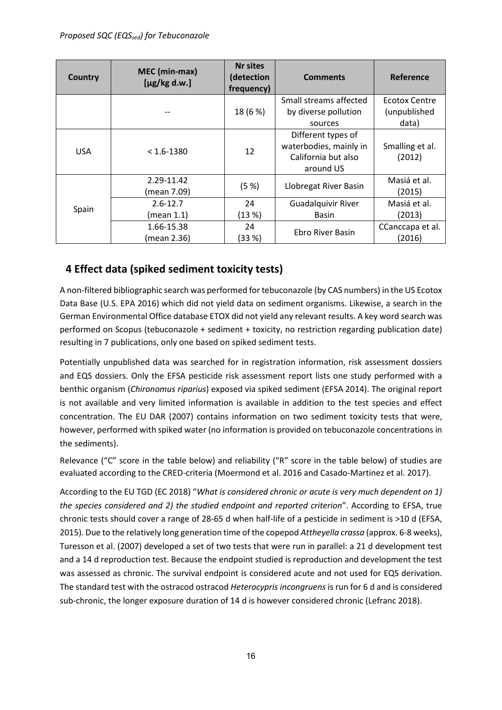| Country    | MEC (min-max)<br>$[\mu$ g/kg d.w.] | <b>Nr sites</b><br>(detection<br>frequency) | <b>Comments</b>                                                                  | Reference                            |
|------------|------------------------------------|---------------------------------------------|----------------------------------------------------------------------------------|--------------------------------------|
|            |                                    | 18 (6 %)                                    | Small streams affected<br>by diverse pollution                                   | <b>Ecotox Centre</b><br>(unpublished |
|            |                                    |                                             | sources                                                                          | data)                                |
| <b>USA</b> | $< 1.6 - 1380$                     | 12                                          | Different types of<br>waterbodies, mainly in<br>California but also<br>around US | Smalling et al.<br>(2012)            |
|            | 2.29-11.42<br>(mean 7.09)          | (5 %)                                       | Llobregat River Basin                                                            | Masiá et al.<br>(2015)               |
| Spain      | $2.6 - 12.7$                       | 24                                          | <b>Guadalquivir River</b>                                                        | Masiá et al.                         |
|            | (mean 1.1)                         | (13%)                                       | <b>Basin</b>                                                                     | (2013)                               |
|            | 1.66-15.38<br>(mean 2.36)          | 24<br>(33 %)                                | Ebro River Basin                                                                 | CCanccapa et al.<br>(2016)           |

# <span id="page-15-0"></span>**4 Effect data (spiked sediment toxicity tests)**

A non-filtered bibliographic search was performed for tebuconazole (by CAS numbers) in the US Ecotox Data Base (U.S. EPA 2016) which did not yield data on sediment organisms. Likewise, a search in the German Environmental Office database ETOX did not yield any relevant results. A key word search was performed on Scopus (tebuconazole + sediment + toxicity, no restriction regarding publication date) resulting in 7 publications, only one based on spiked sediment tests.

Potentially unpublished data was searched for in registration information, risk assessment dossiers and EQS dossiers. Only the EFSA pesticide risk assessment report lists one study performed with a benthic organism (*Chironomus riparius*) exposed via spiked sediment (EFSA 2014). The original report is not available and very limited information is available in addition to the test species and effect concentration. The EU DAR (2007) contains information on two sediment toxicity tests that were, however, performed with spiked water (no information is provided on tebuconazole concentrations in the sediments).

Relevance ("C" score in the table below) and reliability ("R" score in the table below) of studies are evaluated according to the CRED-criteria (Moermond et al. 2016 and Casado-Martinez et al. 2017).

According to the EU TGD (EC 2018) "*What is considered chronic or acute is very much dependent on 1) the species considered and 2) the studied endpoint and reported criterion*". According to EFSA, true chronic tests should cover a range of 28-65 d when half-life of a pesticide in sediment is >10 d (EFSA, 2015). Due to the relatively long generation time of the copepod *Attheyella crassa* (approx. 6-8 weeks), Turesson et al. (2007) developed a set of two tests that were run in parallel: a 21 d development test and a 14 d reproduction test. Because the endpoint studied is reproduction and development the test was assessed as chronic. The survival endpoint is considered acute and not used for EQS derivation. The standard test with the ostracod ostracod *Heterocypris incongruens* is run for 6 d and is considered sub-chronic, the longer exposure duration of 14 d is however considered chronic (Lefranc 2018).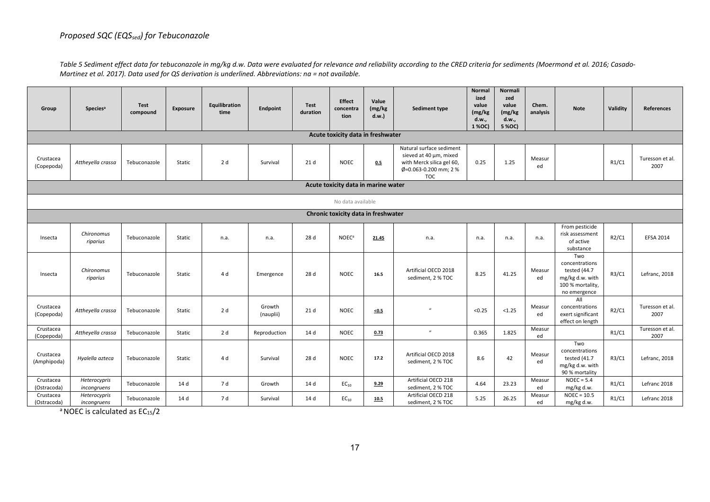*Table 5 Sediment effect data for tebuconazole in mg/kg d.w. Data were evaluated for relevance and reliability according to the CRED criteria for sediments (Moermond et al. 2016; Casado-Martinez et al. 2017). Data used for QS derivation is underlined. Abbreviations: na = not available.*

| Group                    | <b>Species<sup>a</sup></b>  | <b>Test</b><br>compound | Exposure | Equilibration<br>time | Endpoint            | Test<br>duration | <b>Effect</b><br>concentra<br>tion  | Value<br>(mg/kg)<br>d.w. | Sediment type                                                                                                          | <b>Normal</b><br>ized<br>value<br>(mg/kg)<br>d.w.,<br>1 % OC) | <b>Normali</b><br>zed<br>value<br>(mg/kg)<br>d.w.,<br>5 % OC) | Chem.<br>analysis | <b>Note</b>                                                                                  | Validity | <b>References</b>       |
|--------------------------|-----------------------------|-------------------------|----------|-----------------------|---------------------|------------------|-------------------------------------|--------------------------|------------------------------------------------------------------------------------------------------------------------|---------------------------------------------------------------|---------------------------------------------------------------|-------------------|----------------------------------------------------------------------------------------------|----------|-------------------------|
|                          |                             |                         |          |                       |                     |                  | Acute toxicity data in freshwater   |                          |                                                                                                                        |                                                               |                                                               |                   |                                                                                              |          |                         |
| Crustacea<br>(Copepoda)  | Attheyella crassa           | Tebuconazole            | Static   | 2 d                   | Survival            | 21 <sub>d</sub>  | <b>NOEC</b>                         | 0.5                      | Natural surface sediment<br>sieved at 40 um, mixed<br>with Merck silica gel 60,<br>Ø=0.063-0.200 mm; 2 %<br><b>TOC</b> | 0.25                                                          | 1.25                                                          | Measur<br>ed      |                                                                                              | R1/C1    | Turesson et al.<br>2007 |
|                          |                             |                         |          |                       |                     |                  | Acute toxicity data in marine water |                          |                                                                                                                        |                                                               |                                                               |                   |                                                                                              |          |                         |
| No data available        |                             |                         |          |                       |                     |                  |                                     |                          |                                                                                                                        |                                                               |                                                               |                   |                                                                                              |          |                         |
|                          |                             |                         |          |                       |                     |                  | Chronic toxicity data in freshwater |                          |                                                                                                                        |                                                               |                                                               |                   |                                                                                              |          |                         |
| Insecta                  | Chironomus<br>riparius      | Tebuconazole            | Static   | n.a.                  | n.a.                | 28 d             | <b>NOEC</b> <sup>a</sup>            | 21.45                    | n.a.                                                                                                                   | n.a.                                                          | n.a.                                                          | n.a.              | From pesticide<br>risk assessment<br>of active<br>substance                                  | R2/C1    | <b>EFSA 2014</b>        |
| Insecta                  | Chironomus<br>riparius      | Tebuconazole            | Static   | 4 d                   | Emergence           | 28 d             | <b>NOEC</b>                         | 16.5                     | Artificial OECD 2018<br>sediment, 2 % TOC                                                                              | 8.25                                                          | 41.25                                                         | Measur<br>ed      | Two<br>concentrations<br>tested (44.7<br>mg/kg d.w. with<br>100 % mortality,<br>no emergence | R3/C1    | Lefranc, 2018           |
| Crustacea<br>(Copepoda)  | Attheyella crassa           | Tebuconazole            | Static   | 2d                    | Growth<br>(nauplii) | 21 <sub>d</sub>  | <b>NOEC</b>                         | $5 - 5$                  | $\overline{u}$                                                                                                         | < 0.25                                                        | < 1.25                                                        | Measur<br>ed      | All<br>concentrations<br>exert significant<br>effect on length                               | R2/C1    | Turesson et al.<br>2007 |
| Crustacea<br>(Copepoda)  | Attheyella crassa           | Tebuconazole            | Static   | 2 d                   | Reproduction        | 14 d             | <b>NOEC</b>                         | 0.73                     | $\boldsymbol{u}$                                                                                                       | 0.365                                                         | 1.825                                                         | Measur<br>ed      |                                                                                              | R1/C1    | Turesson et al.<br>2007 |
| Crustacea<br>(Amphipoda) | Hyalella azteca             | Tebuconazole            | Static   | 4 d                   | Survival            | 28 d             | <b>NOEC</b>                         | 17.2                     | Artificial OECD 2018<br>sediment, 2 % TOC                                                                              | 8.6                                                           | 42                                                            | Measur<br>ed      | Two<br>concentrations<br>tested (41.7<br>mg/kg d.w. with<br>90 % mortality                   | R3/C1    | Lefranc, 2018           |
| Crustacea<br>(Ostracoda) | Heterocypris<br>incongruens | Tebuconazole            | 14 d     | 7 d                   | Growth              | 14 d             | $EC_{10}$                           | 9.29                     | Artificial OECD 218<br>sediment, 2 % TOC                                                                               | 4.64                                                          | 23.23                                                         | Measur<br>ed      | $NOEC = 5.4$<br>mg/kg d.w.                                                                   | R1/C1    | Lefranc 2018            |
| Crustacea<br>(Ostracoda) | Heterocypris<br>incongruens | Tebuconazole            | 14 d     | 7 d                   | Survival            | 14 d             | $EC_{10}$                           | 10.5                     | Artificial OECD 218<br>sediment, 2 % TOC                                                                               | 5.25                                                          | 26.25                                                         | Measur<br>ed      | $NOEC = 10.5$<br>mg/kg d.w.                                                                  | R1/C1    | Lefranc 2018            |

 $a$  NOEC is calculated as EC<sub>15</sub>/2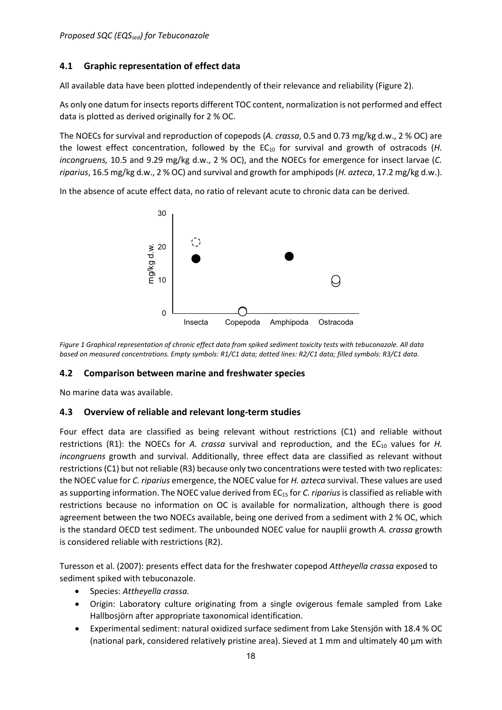## <span id="page-17-0"></span>**4.1 Graphic representation of effect data**

All available data have been plotted independently of their relevance and reliability (Figure 2).

As only one datum for insects reports different TOC content, normalization is not performed and effect data is plotted as derived originally for 2 % OC.

The NOECs for survival and reproduction of copepods (*A. crassa*, 0.5 and 0.73 mg/kg d.w., 2 % OC) are the lowest effect concentration, followed by the EC<sub>10</sub> for survival and growth of ostracods (*H. incongruens,* 10.5 and 9.29 mg/kg d.w., 2 % OC), and the NOECs for emergence for insect larvae (*C. riparius*, 16.5 mg/kg d.w., 2 % OC) and survival and growth for amphipods(*H. azteca*, 17.2 mg/kg d.w.).

In the absence of acute effect data, no ratio of relevant acute to chronic data can be derived*.*



*Figure 1 Graphical representation of chronic effect data from spiked sediment toxicity tests with tebuconazole. All data based on measured concentrations. Empty symbols: R1/C1 data; dotted lines: R2/C1 data; filled symbols: R3/C1 data.* 

#### <span id="page-17-1"></span>**4.2 Comparison between marine and freshwater species**

No marine data was available.

#### <span id="page-17-2"></span>**4.3 Overview of reliable and relevant long-term studies**

Four effect data are classified as being relevant without restrictions (C1) and reliable without restrictions (R1): the NOECs for *A. crassa* survival and reproduction, and the EC<sub>10</sub> values for *H. incongruens* growth and survival. Additionally, three effect data are classified as relevant without restrictions (C1) but not reliable (R3) because only two concentrations were tested with two replicates: the NOEC value for *C. riparius* emergence, the NOEC value for *H. azteca* survival. These values are used as supporting information. The NOEC value derived from EC<sub>15</sub> for *C. riparius* is classified as reliable with restrictions because no information on OC is available for normalization, although there is good agreement between the two NOECs available, being one derived from a sediment with 2 % OC, which is the standard OECD test sediment. The unbounded NOEC value for nauplii growth *A. crassa* growth is considered reliable with restrictions (R2).

Turesson et al. (2007): presents effect data for the freshwater copepod *Attheyella crassa* exposed to sediment spiked with tebuconazole.

- Species: *Attheyella crassa.*
- Origin: Laboratory culture originating from a single ovigerous female sampled from Lake Hallbosjörn after appropriate taxonomical identification.
- Experimental sediment: natural oxidized surface sediment from Lake Stensjön with 18.4 % OC (national park, considered relatively pristine area). Sieved at 1 mm and ultimately 40 µm with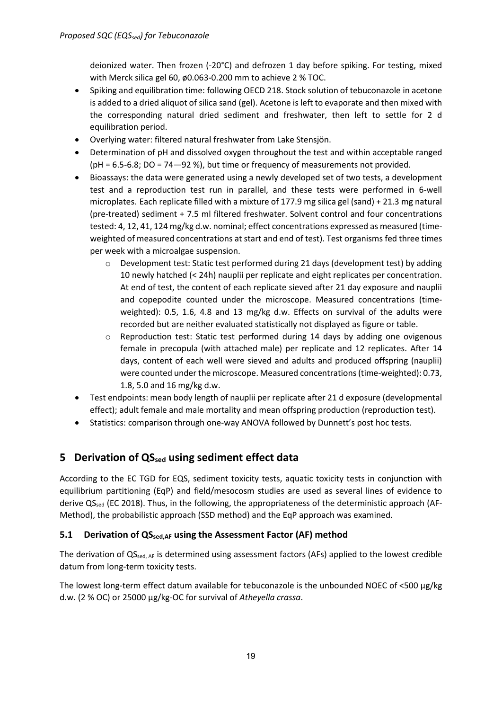deionized water. Then frozen (-20°C) and defrozen 1 day before spiking. For testing, mixed with Merck silica gel 60, ø0.063-0.200 mm to achieve 2 % TOC.

- Spiking and equilibration time: following OECD 218. Stock solution of tebuconazole in acetone is added to a dried aliquot of silica sand (gel). Acetone is left to evaporate and then mixed with the corresponding natural dried sediment and freshwater, then left to settle for 2 d equilibration period.
- Overlying water: filtered natural freshwater from Lake Stensjön.
- Determination of pH and dissolved oxygen throughout the test and within acceptable ranged (pH = 6.5-6.8; DO = 74—92 %), but time or frequency of measurements not provided.
- Bioassays: the data were generated using a newly developed set of two tests, a development test and a reproduction test run in parallel, and these tests were performed in 6-well microplates. Each replicate filled with a mixture of 177.9 mg silica gel (sand) + 21.3 mg natural (pre-treated) sediment + 7.5 ml filtered freshwater. Solvent control and four concentrations tested: 4, 12, 41, 124 mg/kg d.w. nominal; effect concentrations expressed as measured (timeweighted of measured concentrations at start and end of test). Test organisms fed three times per week with a microalgae suspension.
	- o Development test: Static test performed during 21 days (development test) by adding 10 newly hatched (< 24h) nauplii per replicate and eight replicates per concentration. At end of test, the content of each replicate sieved after 21 day exposure and nauplii and copepodite counted under the microscope. Measured concentrations (timeweighted): 0.5, 1.6, 4.8 and 13 mg/kg d.w. Effects on survival of the adults were recorded but are neither evaluated statistically not displayed as figure or table.
	- o Reproduction test: Static test performed during 14 days by adding one ovigenous female in precopula (with attached male) per replicate and 12 replicates. After 14 days, content of each well were sieved and adults and produced offspring (nauplii) were counted under the microscope. Measured concentrations (time-weighted): 0.73, 1.8, 5.0 and 16 mg/kg d.w.
- Test endpoints: mean body length of nauplii per replicate after 21 d exposure (developmental effect); adult female and male mortality and mean offspring production (reproduction test).
- Statistics: comparison through one-way ANOVA followed by Dunnett's post hoc tests.

# <span id="page-18-0"></span>**5 Derivation of QS**<sub>sed</sub> using sediment effect data

According to the EC TGD for EQS, sediment toxicity tests, aquatic toxicity tests in conjunction with equilibrium partitioning (EqP) and field/mesocosm studies are used as several lines of evidence to derive  $QS_{\text{red}}$  (EC 2018). Thus, in the following, the appropriateness of the deterministic approach (AF-Method), the probabilistic approach (SSD method) and the EqP approach was examined.

#### <span id="page-18-1"></span>**5.1 Derivation of QSsed,AF using the Assessment Factor (AF) method**

The derivation of QS<sub>sed, AF</sub> is determined using assessment factors (AFs) applied to the lowest credible datum from long-term toxicity tests.

The lowest long-term effect datum available for tebuconazole is the unbounded NOEC of <500 µg/kg d.w. (2 % OC) or 25000 µg/kg-OC for survival of *Atheyella crassa*.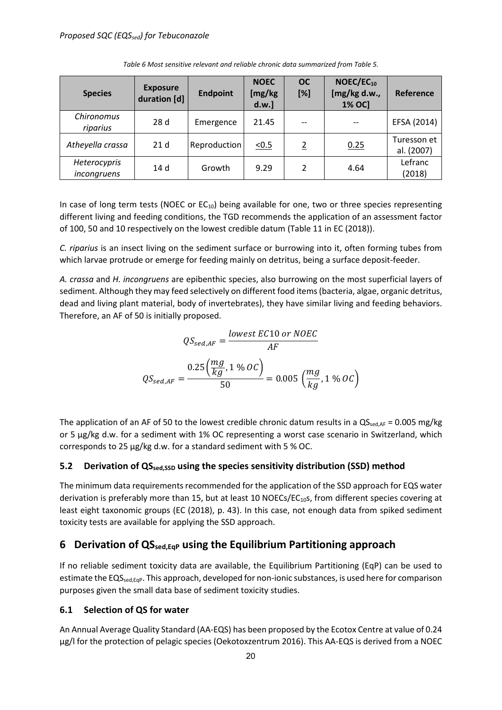| <b>Species</b>              | <b>Exposure</b><br>duration [d] | <b>Endpoint</b> | <b>NOEC</b><br>[mg/kg<br>d.w.] | <b>OC</b><br>[%] | $NOEC/EC_{10}$<br>[mg/kg d.w.,<br>1% OC] | Reference                 |
|-----------------------------|---------------------------------|-----------------|--------------------------------|------------------|------------------------------------------|---------------------------|
| Chironomus<br>riparius      | 28d                             | Emergence       | 21.45                          |                  |                                          | EFSA (2014)               |
| Atheyella crassa            | 21 <sub>d</sub>                 | Reproduction    | $\underline{<0.5}$             | $\overline{2}$   | 0.25                                     | Turesson et<br>al. (2007) |
| Heterocypris<br>incongruens | 14 d                            | Growth          | 9.29                           | $\mathcal{P}$    | 4.64                                     | Lefranc<br>(2018)         |

*Table 6 Most sensitive relevant and reliable chronic data summarized from Table 5.*

In case of long term tests (NOEC or  $EC_{10}$ ) being available for one, two or three species representing different living and feeding conditions, the TGD recommends the application of an assessment factor of 100, 50 and 10 respectively on the lowest credible datum (Table 11 in EC (2018)).

*C. riparius* is an insect living on the sediment surface or burrowing into it, often forming tubes from which larvae protrude or emerge for feeding mainly on detritus, being a surface deposit-feeder.

*A. crassa* and *H. incongruens* are epibenthic species, also burrowing on the most superficial layers of sediment. Although they may feed selectively on different food items (bacteria, algae, organic detritus, dead and living plant material, body of invertebrates), they have similar living and feeding behaviors. Therefore, an AF of 50 is initially proposed.

$$
QS_{sed,AF} = \frac{lowest \ EC10 \ or \ NOEC}{AF}
$$

$$
QS_{sed,AF} = \frac{0.25 \left(\frac{mg}{kg}, 1 \% \ OC\right)}{50} = 0.005 \left(\frac{mg}{kg}, 1 \% \ OC\right)
$$

The application of an AF of 50 to the lowest credible chronic datum results in a  $QS_{\text{sed,AF}} = 0.005 \text{ mg/kg}$ or 5 µg/kg d.w. for a sediment with 1% OC representing a worst case scenario in Switzerland, which corresponds to 25 µg/kg d.w. for a standard sediment with 5 % OC.

#### <span id="page-19-0"></span>**5.2 Derivation of QSsed,SSD using the species sensitivity distribution (SSD) method**

The minimum data requirements recommended for the application of the SSD approach for EQS water derivation is preferably more than 15, but at least 10 NOECs/ $EC_{10}$ s, from different species covering at least eight taxonomic groups (EC (2018), p. 43). In this case, not enough data from spiked sediment toxicity tests are available for applying the SSD approach.

## <span id="page-19-1"></span>**6 Derivation of QSsed,EqP using the Equilibrium Partitioning approach**

If no reliable sediment toxicity data are available, the Equilibrium Partitioning (EqP) can be used to estimate the EQS<sub>sed,Eqp</sub>. This approach, developed for non-ionic substances, is used here for comparison purposes given the small data base of sediment toxicity studies.

#### <span id="page-19-2"></span>**6.1 Selection of QS for water**

An Annual Average Quality Standard (AA-EQS) has been proposed by the Ecotox Centre at value of 0.24 µg/l for the protection of pelagic species (Oekotoxzentrum 2016). This AA-EQS is derived from a NOEC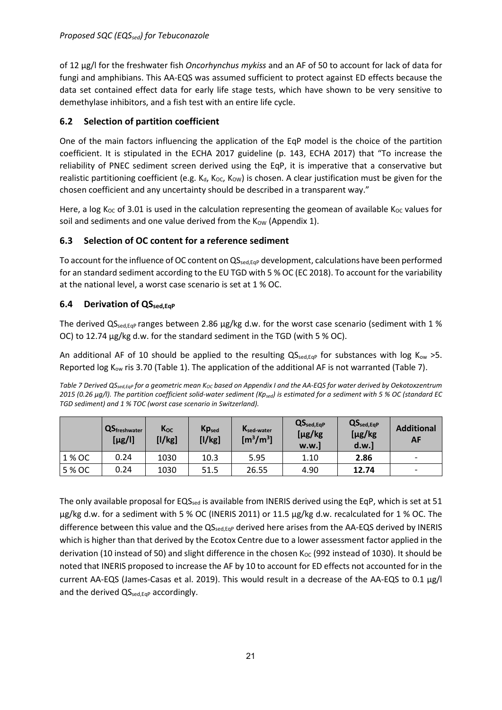of 12 µg/l for the freshwater fish *Oncorhynchus mykiss* and an AF of 50 to account for lack of data for fungi and amphibians. This AA-EQS was assumed sufficient to protect against ED effects because the data set contained effect data for early life stage tests, which have shown to be very sensitive to demethylase inhibitors, and a fish test with an entire life cycle.

## <span id="page-20-0"></span>**6.2 Selection of partition coefficient**

One of the main factors influencing the application of the EqP model is the choice of the partition coefficient. It is stipulated in the ECHA 2017 guideline (p. 143, ECHA 2017) that "To increase the reliability of PNEC sediment screen derived using the EqP, it is imperative that a conservative but realistic partitioning coefficient (e.g.  $K_d$ ,  $K_{OC}$ ,  $K_{OW}$ ) is chosen. A clear justification must be given for the chosen coefficient and any uncertainty should be described in a transparent way."

Here, a log K<sub>OC</sub> of 3.01 is used in the calculation representing the geomean of available K<sub>OC</sub> values for soil and sediments and one value derived from the  $K_{\text{OW}}$  (Appendix 1).

## <span id="page-20-1"></span>**6.3 Selection of OC content for a reference sediment**

To account for the influence of OC content on  $QS_{\text{sed},EqP}$  development, calculations have been performed for an standard sediment according to the EU TGD with 5 % OC (EC 2018). To account for the variability at the national level, a worst case scenario is set at 1 % OC.

#### <span id="page-20-2"></span>**6.4 Derivation of QSsed,EqP**

The derived  $QS_{\text{sedEop}}$  ranges between 2.86  $\mu$ g/kg d.w. for the worst case scenario (sediment with 1 % OC) to 12.74 µg/kg d.w. for the standard sediment in the TGD (with 5 % OC).

An additional AF of 10 should be applied to the resulting  $QS_{\text{sed},EqP}$  for substances with log K<sub>ow</sub> >5. Reported log  $K_{ow}$  ris 3.70 (Table 1). The application of the additional AF is not warranted (Table 7).

*Table 7 Derived QS<sub>sed,EqP</sub>* for a geometric mean K<sub>OC</sub> based on Appendix *I and the AA-EQS* for water derived by Oekotoxzentrum *2015 (0.26 µg/l). The partition coefficient solid-water sediment (Kpsed) is estimated for a sediment with 5 % OC (standard EC TGD sediment) and 1 % TOC (worst case scenario in Switzerland).*

|        | <b>QS</b> freshwater<br>$[\mu$ g/l] | Koc<br>[1/kg] | <b>Kpsed</b><br>[1/kg] | K <sub>sed-water</sub><br>$\rm [m^3/m^3]$ | $QS_{\text{sed,EqP}}$<br>[µg/kg<br>w.w.] | $QS_{\text{sed,EqP}}$<br>$[\mu g/kg]$<br>d.w.] | <b>Additional</b><br>AF  |
|--------|-------------------------------------|---------------|------------------------|-------------------------------------------|------------------------------------------|------------------------------------------------|--------------------------|
| 1 % OC | 0.24                                | 1030          | 10.3                   | 5.95                                      | 1.10                                     | 2.86                                           | $\overline{\phantom{0}}$ |
| 5 % OC | 0.24                                | 1030          | 51.5                   | 26.55                                     | 4.90                                     | 12.74                                          | $\overline{\phantom{0}}$ |

The only available proposal for EQS<sub>sed</sub> is available from INERIS derived using the EqP, which is set at 51 µg/kg d.w. for a sediment with 5 % OC (INERIS 2011) or 11.5 µg/kg d.w. recalculated for 1 % OC. The difference between this value and the QS<sub>sed,Eqp</sub> derived here arises from the AA-EQS derived by INERIS which is higher than that derived by the Ecotox Centre due to a lower assessment factor applied in the derivation (10 instead of 50) and slight difference in the chosen  $K_{OC}$  (992 instead of 1030). It should be noted that INERIS proposed to increase the AF by 10 to account for ED effects not accounted for in the current AA-EQS (James-Casas et al. 2019). This would result in a decrease of the AA-EQS to 0.1 µg/l and the derived  $QS_{\text{sed,EqP}}$  accordingly.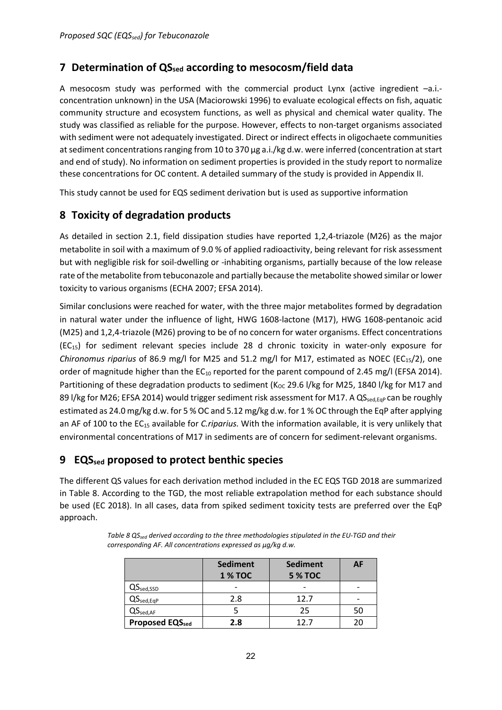# <span id="page-21-0"></span>**7 Determination of QSsed according to mesocosm/field data**

A mesocosm study was performed with the commercial product Lynx (active ingredient –a.i. concentration unknown) in the USA (Maciorowski 1996) to evaluate ecological effects on fish, aquatic community structure and ecosystem functions, as well as physical and chemical water quality. The study was classified as reliable for the purpose. However, effects to non-target organisms associated with sediment were not adequately investigated. Direct or indirect effects in oligochaete communities at sediment concentrations ranging from 10 to 370 µg a.i./kg d.w. were inferred (concentration at start and end of study). No information on sediment properties is provided in the study report to normalize these concentrations for OC content. A detailed summary of the study is provided in Appendix II.

This study cannot be used for EQS sediment derivation but is used as supportive information

# <span id="page-21-1"></span>**8 Toxicity of degradation products**

As detailed in section 2.1, field dissipation studies have reported 1,2,4-triazole (M26) as the major metabolite in soil with a maximum of 9.0 % of applied radioactivity, being relevant for risk assessment but with negligible risk for soil-dwelling or -inhabiting organisms, partially because of the low release rate of the metabolite from tebuconazole and partially because the metabolite showed similar or lower toxicity to various organisms (ECHA 2007; EFSA 2014).

Similar conclusions were reached for water, with the three major metabolites formed by degradation in natural water under the influence of light, HWG 1608-lactone (M17), HWG 1608-pentanoic acid (M25) and 1,2,4-triazole (M26) proving to be of no concern for water organisms. Effect concentrations (EC15) for sediment relevant species include 28 d chronic toxicity in water-only exposure for *Chironomus riparius* of 86.9 mg/l for M25 and 51.2 mg/l for M17, estimated as NOEC (EC<sub>15</sub>/2), one order of magnitude higher than the  $EC_{10}$  reported for the parent compound of 2.45 mg/l (EFSA 2014). Partitioning of these degradation products to sediment ( $K_{OC}$  29.6 l/kg for M25, 1840 l/kg for M17 and 89 l/kg for M26; EFSA 2014) would trigger sediment risk assessment for M17. A QS<sub>sed, EqP</sub> can be roughly estimated as 24.0 mg/kg d.w. for 5 % OC and 5.12 mg/kg d.w. for 1 % OC through the EqP after applying an AF of 100 to the EC15 available for *C.riparius.* With the information available, it is very unlikely that environmental concentrations of M17 in sediments are of concern for sediment-relevant organisms.

# <span id="page-21-2"></span>**9 EQSsed proposed to protect benthic species**

The different QS values for each derivation method included in the EC EQS TGD 2018 are summarized in Table 8. According to the TGD, the most reliable extrapolation method for each substance should be used (EC 2018). In all cases, data from spiked sediment toxicity tests are preferred over the EqP approach.

|                               | <b>Sediment</b><br><b>1 % TOC</b> | <b>Sediment</b><br><b>5 % TOC</b> | AF |
|-------------------------------|-----------------------------------|-----------------------------------|----|
| $QS_{\rm sed, SSD}$           |                                   |                                   |    |
| $QS_{\text{sed,EqP}}$         | 2.8                               | 12.7                              |    |
| $\mathsf{QS}_\mathsf{sed,AF}$ |                                   | 25                                | 50 |
| <b>Proposed EQSsed</b>        | 2.8                               | 12 7                              |    |

*Table 8 QS<sub>sed</sub> derived according to the three methodologies stipulated in the EU-TGD and their corresponding AF. All concentrations expressed as µg/kg d.w.*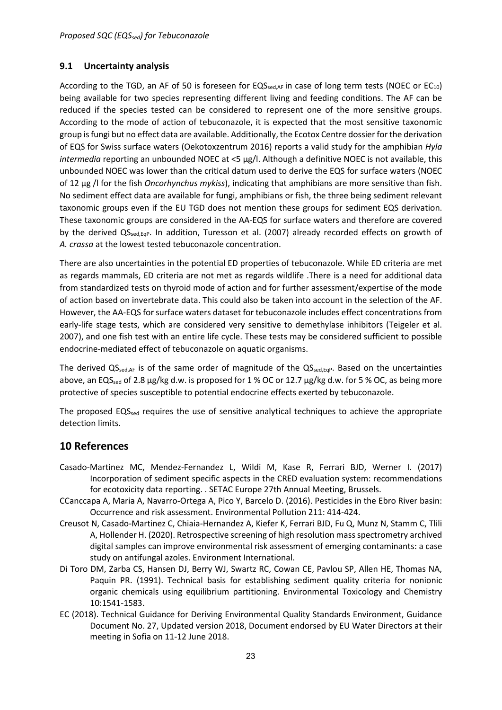#### <span id="page-22-0"></span>**9.1 Uncertainty analysis**

According to the TGD, an AF of 50 is foreseen for  $EQS_{\text{sed,AF}}$  in case of long term tests (NOEC or  $EC_{10}$ ) being available for two species representing different living and feeding conditions. The AF can be reduced if the species tested can be considered to represent one of the more sensitive groups. According to the mode of action of tebuconazole, it is expected that the most sensitive taxonomic group is fungi but no effect data are available. Additionally, the Ecotox Centre dossier for the derivation of EQS for Swiss surface waters (Oekotoxzentrum 2016) reports a valid study for the amphibian *Hyla intermedia* reporting an unbounded NOEC at <5 µg/l. Although a definitive NOEC is not available, this unbounded NOEC was lower than the critical datum used to derive the EQS for surface waters (NOEC of 12 µg /l for the fish *Oncorhynchus mykiss*), indicating that amphibians are more sensitive than fish. No sediment effect data are available for fungi, amphibians or fish, the three being sediment relevant taxonomic groups even if the EU TGD does not mention these groups for sediment EQS derivation. These taxonomic groups are considered in the AA-EQS for surface waters and therefore are covered by the derived  $QS_{\text{sed, EqP}}$ . In addition, Turesson et al. (2007) already recorded effects on growth of *A. crassa* at the lowest tested tebuconazole concentration.

There are also uncertainties in the potential ED properties of tebuconazole. While ED criteria are met as regards mammals, ED criteria are not met as regards wildlife .There is a need for additional data from standardized tests on thyroid mode of action and for further assessment/expertise of the mode of action based on invertebrate data. This could also be taken into account in the selection of the AF. However, the AA-EQS for surface waters dataset for tebuconazole includes effect concentrations from early-life stage tests, which are considered very sensitive to demethylase inhibitors (Teigeler et al. 2007), and one fish test with an entire life cycle. These tests may be considered sufficient to possible endocrine-mediated effect of tebuconazole on aquatic organisms.

The derived  $QS_{\text{sed,AF}}$  is of the same order of magnitude of the  $QS_{\text{sed, EqP}}$ . Based on the uncertainties above, an EQS<sub>sed</sub> of 2.8  $\mu$ g/kg d.w. is proposed for 1 % OC or 12.7  $\mu$ g/kg d.w. for 5 % OC, as being more protective of species susceptible to potential endocrine effects exerted by tebuconazole.

The proposed  $EQS_{\text{sed}}$  requires the use of sensitive analytical techniques to achieve the appropriate detection limits.

## <span id="page-22-1"></span>**10 References**

- Casado-Martinez MC, Mendez-Fernandez L, Wildi M, Kase R, Ferrari BJD, Werner I. (2017) Incorporation of sediment specific aspects in the CRED evaluation system: recommendations for ecotoxicity data reporting. . SETAC Europe 27th Annual Meeting, Brussels.
- CCanccapa A, Maria A, Navarro-Ortega A, Pico Y, Barcelo D. (2016). Pesticides in the Ebro River basin: Occurrence and risk assessment. Environmental Pollution 211: 414-424.
- Creusot N, Casado-Martinez C, Chiaia-Hernandez A, Kiefer K, Ferrari BJD, Fu Q, Munz N, Stamm C, Tlili A, Hollender H. (2020). Retrospective screening of high resolution mass spectrometry archived digital samples can improve environmental risk assessment of emerging contaminants: a case study on antifungal azoles. Environment International.
- Di Toro DM, Zarba CS, Hansen DJ, Berry WJ, Swartz RC, Cowan CE, Pavlou SP, Allen HE, Thomas NA, Paquin PR. (1991). Technical basis for establishing sediment quality criteria for nonionic organic chemicals using equilibrium partitioning. Environmental Toxicology and Chemistry 10:1541-1583.
- EC (2018). Technical Guidance for Deriving Environmental Quality Standards Environment, Guidance Document No. 27, Updated version 2018, Document endorsed by EU Water Directors at their meeting in Sofia on 11-12 June 2018.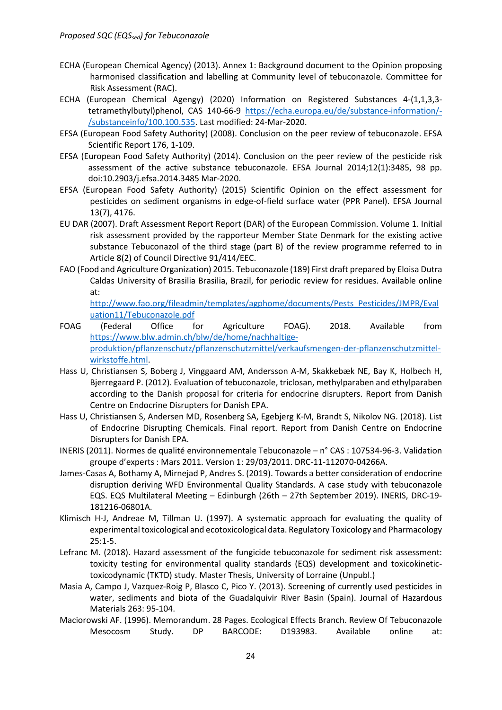- ECHA (European Chemical Agency) (2013). Annex 1: Background document to the Opinion proposing harmonised classification and labelling at Community level of tebuconazole. Committee for Risk Assessment (RAC).
- ECHA (European Chemical Agengy) (2020) Information on Registered Substances 4-(1,1,3,3 tetramethylbutyl)phenol, CAS 140-66-9 [https://echa.europa.eu/de/substance-information/-](https://echa.europa.eu/de/substance-information/-/substanceinfo/100.100.535) [/substanceinfo/100.100.535.](https://echa.europa.eu/de/substance-information/-/substanceinfo/100.100.535) Last modified: 24-Mar-2020.
- EFSA (European Food Safety Authority) (2008). Conclusion on the peer review of tebuconazole. EFSA Scientific Report 176, 1-109.
- EFSA (European Food Safety Authority) (2014). Conclusion on the peer review of the pesticide risk assessment of the active substance tebuconazole. EFSA Journal 2014;12(1):3485, 98 pp. doi:10.2903/j.efsa.2014.3485 Mar-2020.
- EFSA (European Food Safety Authority) (2015) Scientific Opinion on the effect assessment for pesticides on sediment organisms in edge-of-field surface water (PPR Panel). EFSA Journal 13(7), 4176.
- EU DAR (2007). Draft Assessment Report Report (DAR) of the European Commission. Volume 1. Initial risk assessment provided by the rapporteur Member State Denmark for the existing active substance Tebuconazol of the third stage (part B) of the review programme referred to in Article 8(2) of Council Directive 91/414/EEC.
- FAO (Food and Agriculture Organization) 2015. Tebuconazole (189) First draft prepared by Eloisa Dutra Caldas University of Brasilia Brasilia, Brazil, for periodic review for residues. Available online at:

[http://www.fao.org/fileadmin/templates/agphome/documents/Pests\\_Pesticides/JMPR/Eval](http://www.fao.org/fileadmin/templates/agphome/documents/Pests_Pesticides/JMPR/Evaluation11/Tebuconazole.pdf) [uation11/Tebuconazole.pdf](http://www.fao.org/fileadmin/templates/agphome/documents/Pests_Pesticides/JMPR/Evaluation11/Tebuconazole.pdf)

- FOAG (Federal Office for Agriculture FOAG). 2018. Available from [https://www.blw.admin.ch/blw/de/home/nachhaltige](https://www.blw.admin.ch/blw/de/home/nachhaltige-produktion/pflanzenschutz/pflanzenschutzmittel/verkaufsmengen-der-pflanzenschutzmittel-wirkstoffe.html)[produktion/pflanzenschutz/pflanzenschutzmittel/verkaufsmengen-der-pflanzenschutzmittel](https://www.blw.admin.ch/blw/de/home/nachhaltige-produktion/pflanzenschutz/pflanzenschutzmittel/verkaufsmengen-der-pflanzenschutzmittel-wirkstoffe.html)[wirkstoffe.html.](https://www.blw.admin.ch/blw/de/home/nachhaltige-produktion/pflanzenschutz/pflanzenschutzmittel/verkaufsmengen-der-pflanzenschutzmittel-wirkstoffe.html)
- Hass U, Christiansen S, Boberg J, Vinggaard AM, Andersson A-M, Skakkebæk NE, Bay K, Holbech H, Bjerregaard P. (2012). Evaluation of tebuconazole, triclosan, methylparaben and ethylparaben according to the Danish proposal for criteria for endocrine disrupters. Report from Danish Centre on Endocrine Disrupters for Danish EPA.
- Hass U, Christiansen S, Andersen MD, Rosenberg SA, Egebjerg K-M, Brandt S, Nikolov NG. (2018). List of Endocrine Disrupting Chemicals. Final report. Report from Danish Centre on Endocrine Disrupters for Danish EPA.
- INERIS (2011). Normes de qualité environnementale Tebuconazole n° CAS : 107534-96-3. Validation groupe d'experts : Mars 2011. Version 1: 29/03/2011. DRC-11-112070-04266A.
- James-Casas A, Bothamy A, Mirnejad P, Andres S. (2019). Towards a better consideration of endocrine disruption deriving WFD Environmental Quality Standards. A case study with tebuconazole EQS. EQS Multilateral Meeting – Edinburgh (26th – 27th September 2019). INERIS, DRC-19- 181216-06801A.
- Klimisch H-J, Andreae M, Tillman U. (1997). A systematic approach for evaluating the quality of experimental toxicological and ecotoxicological data. Regulatory Toxicology and Pharmacology 25:1-5.
- Lefranc M. (2018). Hazard assessment of the fungicide tebuconazole for sediment risk assessment: toxicity testing for environmental quality standards (EQS) development and toxicokinetictoxicodynamic (TKTD) study. Master Thesis, University of Lorraine (Unpubl.)
- Masia A, Campo J, Vazquez-Roig P, Blasco C, Pico Y. (2013). Screening of currently used pesticides in water, sediments and biota of the Guadalquivir River Basin (Spain). Journal of Hazardous Materials 263: 95-104.
- Maciorowski AF. (1996). Memorandum. 28 Pages. Ecological Effects Branch. Review Of Tebuconazole Mesocosm Study. DP BARCODE: D193983. Available online at: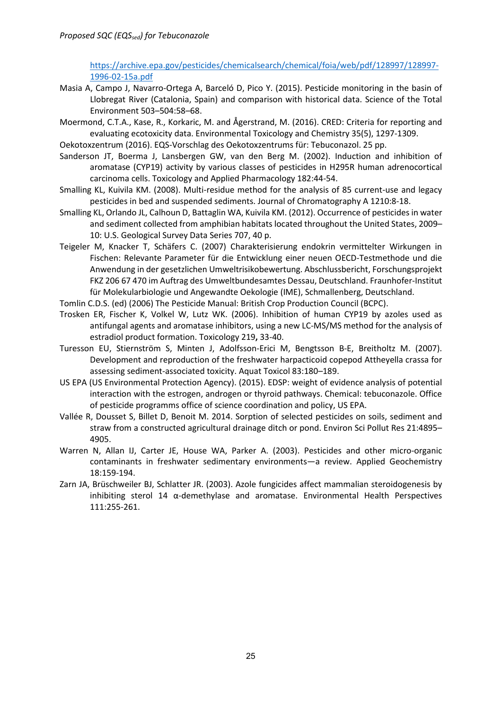[https://archive.epa.gov/pesticides/chemicalsearch/chemical/foia/web/pdf/128997/128997-](https://archive.epa.gov/pesticides/chemicalsearch/chemical/foia/web/pdf/128997/128997-1996-02-15a.pdf) [1996-02-15a.pdf](https://archive.epa.gov/pesticides/chemicalsearch/chemical/foia/web/pdf/128997/128997-1996-02-15a.pdf)

- Masia A, Campo J, Navarro-Ortega A, Barceló D, Pico Y. (2015). Pesticide monitoring in the basin of Llobregat River (Catalonia, Spain) and comparison with historical data. Science of the Total Environment 503–504:58–68.
- Moermond, C.T.A., Kase, R., Korkaric, M. and Ågerstrand, M. (2016). CRED: Criteria for reporting and evaluating ecotoxicity data. Environmental Toxicology and Chemistry 35(5), 1297-1309.
- Oekotoxzentrum (2016). EQS-Vorschlag des Oekotoxzentrums für: Tebuconazol. 25 pp.
- Sanderson JT, Boerma J, Lansbergen GW, van den Berg M. (2002). Induction and inhibition of aromatase (CYP19) activity by various classes of pesticides in H295R human adrenocortical carcinoma cells. Toxicology and Applied Pharmacology 182:44-54.
- Smalling KL, Kuivila KM. (2008). Multi-residue method for the analysis of 85 current-use and legacy pesticides in bed and suspended sediments. Journal of Chromatography A 1210:8-18.
- Smalling KL, Orlando JL, Calhoun D, Battaglin WA, Kuivila KM. (2012). Occurrence of pesticides in water and sediment collected from amphibian habitats located throughout the United States, 2009– 10: U.S. Geological Survey Data Series 707, 40 p.
- Teigeler M, Knacker T, Schäfers C. (2007) Charakterisierung endokrin vermittelter Wirkungen in Fischen: Relevante Parameter für die Entwicklung einer neuen OECD-Testmethode und die Anwendung in der gesetzlichen Umweltrisikobewertung. Abschlussbericht, Forschungsprojekt FKZ 206 67 470 im Auftrag des Umweltbundesamtes Dessau, Deutschland. Fraunhofer-Institut für Molekularbiologie und Angewandte Oekologie (IME), Schmallenberg, Deutschland.
- Tomlin C.D.S. (ed) (2006) The Pesticide Manual: British Crop Production Council (BCPC).
- Trosken ER, Fischer K, Volkel W, Lutz WK. (2006). Inhibition of human CYP19 by azoles used as antifungal agents and aromatase inhibitors, using a new LC-MS/MS method for the analysis of estradiol product formation. Toxicology 219**,** 33-40.
- Turesson EU, Stiernström S, Minten J, Adolfsson-Erici M, Bengtsson B-E, Breitholtz M. (2007). Development and reproduction of the freshwater harpacticoid copepod Attheyella crassa for assessing sediment-associated toxicity. Aquat Toxicol 83:180–189.
- US EPA (US Environmental Protection Agency). (2015). EDSP: weight of evidence analysis of potential interaction with the estrogen, androgen or thyroid pathways. Chemical: tebuconazole. Office of pesticide programms office of science coordination and policy, US EPA.
- Vallée R, Dousset S, Billet D, Benoit M. 2014. Sorption of selected pesticides on soils, sediment and straw from a constructed agricultural drainage ditch or pond. Environ Sci Pollut Res 21:4895– 4905.
- Warren N, Allan IJ, Carter JE, House WA, Parker A. (2003). Pesticides and other micro-organic contaminants in freshwater sedimentary environments—a review. Applied Geochemistry 18:159-194.
- Zarn JA, Brüschweiler BJ, Schlatter JR. (2003). Azole fungicides affect mammalian steroidogenesis by inhibiting sterol 14 α-demethylase and aromatase. Environmental Health Perspectives 111:255-261.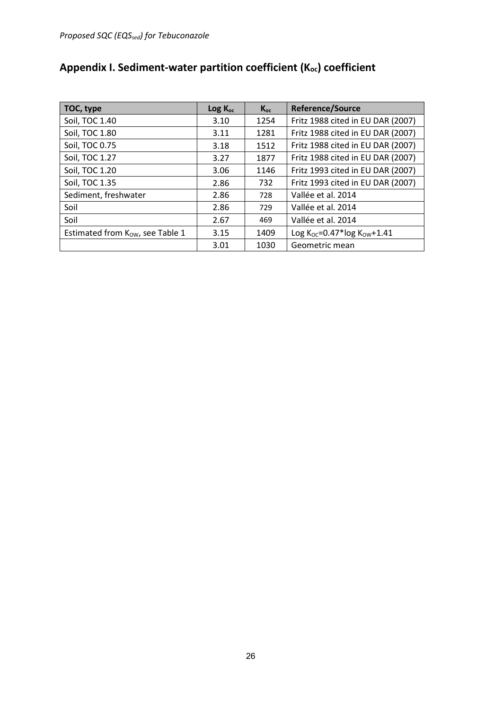| TOC, type                       | Log K <sub>oc</sub> | $K_{oc}$ | <b>Reference/Source</b>                  |
|---------------------------------|---------------------|----------|------------------------------------------|
| Soil, TOC 1.40                  | 3.10                | 1254     | Fritz 1988 cited in EU DAR (2007)        |
| Soil, TOC 1.80                  | 3.11                | 1281     | Fritz 1988 cited in EU DAR (2007)        |
| Soil, TOC 0.75                  | 3.18                | 1512     | Fritz 1988 cited in EU DAR (2007)        |
| Soil, TOC 1.27                  | 3.27                | 1877     | Fritz 1988 cited in EU DAR (2007)        |
| Soil, TOC 1.20                  | 3.06                | 1146     | Fritz 1993 cited in EU DAR (2007)        |
| Soil, TOC 1.35                  | 2.86                | 732      | Fritz 1993 cited in EU DAR (2007)        |
| Sediment, freshwater            | 2.86                | 728      | Vallée et al. 2014                       |
| Soil                            | 2.86                | 729      | Vallée et al. 2014                       |
| Soil                            | 2.67                | 469      | Vallée et al. 2014                       |
| Estimated from Kow, see Table 1 | 3.15                | 1409     | Log $K_{OC} = 0.47*$ log $K_{OW} + 1.41$ |
|                                 | 3.01                | 1030     | Geometric mean                           |

# <span id="page-25-0"></span>Appendix I. Sediment-water partition coefficient (K<sub>oc</sub>) coefficient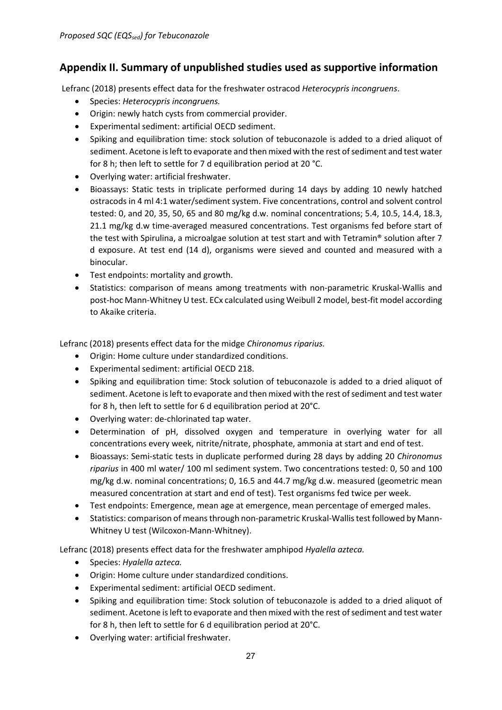# <span id="page-26-0"></span>**Appendix II. Summary of unpublished studies used as supportive information**

Lefranc (2018) presents effect data for the freshwater ostracod *Heterocypris incongruens*.

- Species: *Heterocypris incongruens.*
- Origin: newly hatch cysts from commercial provider.
- Experimental sediment: artificial OECD sediment.
- Spiking and equilibration time: stock solution of tebuconazole is added to a dried aliquot of sediment. Acetone is left to evaporate and then mixed with the rest of sediment and test water for 8 h; then left to settle for 7 d equilibration period at 20 °C.
- Overlying water: artificial freshwater.
- Bioassays: Static tests in triplicate performed during 14 days by adding 10 newly hatched ostracods in 4 ml 4:1 water/sediment system. Five concentrations, control and solvent control tested: 0, and 20, 35, 50, 65 and 80 mg/kg d.w. nominal concentrations; 5.4, 10.5, 14.4, 18.3, 21.1 mg/kg d.w time-averaged measured concentrations. Test organisms fed before start of the test with Spirulina, a microalgae solution at test start and with Tetramin® solution after 7 d exposure. At test end (14 d), organisms were sieved and counted and measured with a binocular.
- Test endpoints: mortality and growth.
- Statistics: comparison of means among treatments with non-parametric Kruskal-Wallis and post-hoc Mann-Whitney U test. ECx calculated using Weibull 2 model, best-fit model according to Akaike criteria.

Lefranc (2018) presents effect data for the midge *Chironomus riparius.*

- Origin: Home culture under standardized conditions.
- Experimental sediment: artificial OECD 218.
- Spiking and equilibration time: Stock solution of tebuconazole is added to a dried aliquot of sediment. Acetone is left to evaporate and then mixed with the rest of sediment and test water for 8 h, then left to settle for 6 d equilibration period at 20°C.
- Overlying water: de-chlorinated tap water.
- Determination of pH, dissolved oxygen and temperature in overlying water for all concentrations every week, nitrite/nitrate, phosphate, ammonia at start and end of test.
- Bioassays: Semi-static tests in duplicate performed during 28 days by adding 20 *Chironomus riparius* in 400 ml water/ 100 ml sediment system. Two concentrations tested: 0, 50 and 100 mg/kg d.w. nominal concentrations; 0, 16.5 and 44.7 mg/kg d.w. measured (geometric mean measured concentration at start and end of test). Test organisms fed twice per week.
- Test endpoints: Emergence, mean age at emergence, mean percentage of emerged males.
- Statistics: comparison of means through non-parametric Kruskal-Wallis test followed by Mann-Whitney U test (Wilcoxon-Mann-Whitney).

Lefranc (2018) presents effect data for the freshwater amphipod *Hyalella azteca.*

- Species: *Hyalella azteca.*
- Origin: Home culture under standardized conditions.
- Experimental sediment: artificial OECD sediment.
- Spiking and equilibration time: Stock solution of tebuconazole is added to a dried aliquot of sediment. Acetone is left to evaporate and then mixed with the rest of sediment and test water for 8 h, then left to settle for 6 d equilibration period at 20°C.
- Overlying water: artificial freshwater.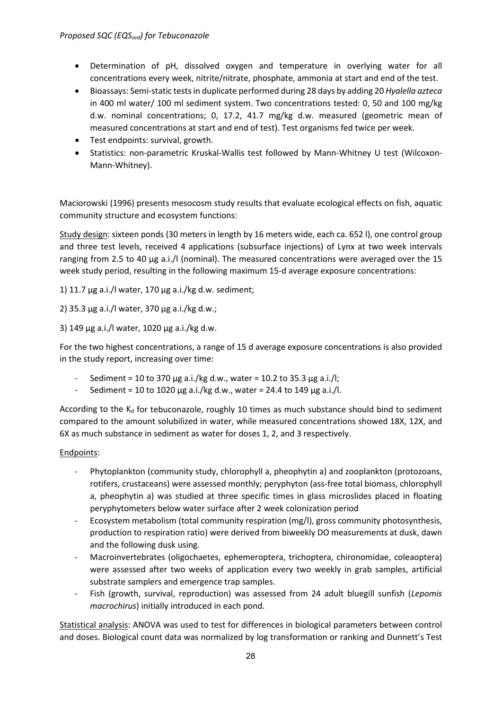- Determination of pH, dissolved oxygen and temperature in overlying water for all concentrations every week, nitrite/nitrate, phosphate, ammonia at start and end of the test.
- Bioassays: Semi-static testsin duplicate performed during 28 days by adding 20 *Hyalella azteca* in 400 ml water/ 100 ml sediment system. Two concentrations tested: 0, 50 and 100 mg/kg d.w. nominal concentrations; 0, 17.2, 41.7 mg/kg d.w. measured (geometric mean of measured concentrations at start and end of test). Test organisms fed twice per week.
- Test endpoints: survival, growth.
- Statistics: non-parametric Kruskal-Wallis test followed by Mann-Whitney U test (Wilcoxon-Mann-Whitney).

Maciorowski (1996) presents mesocosm study results that evaluate ecological effects on fish, aquatic community structure and ecosystem functions:

Study design: sixteen ponds (30 meters in length by 16 meters wide, each ca. 652 l), one control group and three test levels, received 4 applications (subsurface injections) of Lynx at two week intervals ranging from 2.5 to 40 µg a.i./l (nominal). The measured concentrations were averaged over the 15 week study period, resulting in the following maximum 15-d average exposure concentrations:

1) 11.7 µg a.i./l water, 170 µg a.i./kg d.w. sediment;

2) 35.3 µg a.i./l water, 370 µg a.i./kg d.w.;

3) 149 µg a.i./l water, 1020 µg a.i./kg d.w.

For the two highest concentrations, a range of 15 d average exposure concentrations is also provided in the study report, increasing over time:

- Sediment = 10 to 370 µg a.i./kg d.w., water = 10.2 to 35.3 µg a.i./l;
- Sediment = 10 to 1020 µg a.i./kg d.w., water = 24.4 to 149 µg a.i./l.

According to the  $K_d$  for tebuconazole, roughly 10 times as much substance should bind to sediment compared to the amount solubilized in water, while measured concentrations showed 18X, 12X, and 6X as much substance in sediment as water for doses 1, 2, and 3 respectively.

#### Endpoints:

- Phytoplankton (community study, chlorophyll a, pheophytin a) and zooplankton (protozoans, rotifers, crustaceans) were assessed monthly; peryphyton (ass-free total biomass, chlorophyll a, pheophytin a) was studied at three specific times in glass microslides placed in floating peryphytometers below water surface after 2 week colonization period
- Ecosystem metabolism (total community respiration (mg/l), gross community photosynthesis, production to respiration ratio) were derived from biweekly DO measurements at dusk, dawn and the following dusk using.
- Macroinvertebrates (oligochaetes, ephemeroptera, trichoptera, chironomidae, coleaoptera) were assessed after two weeks of application every two weekly in grab samples, artificial substrate samplers and emergence trap samples.
- Fish (growth, survival, reproduction) was assessed from 24 adult bluegill sunfish (*Lepomis macrochirus*) initially introduced in each pond.

Statistical analysis: ANOVA was used to test for differences in biological parameters between control and doses. Biological count data was normalized by log transformation or ranking and Dunnett's Test